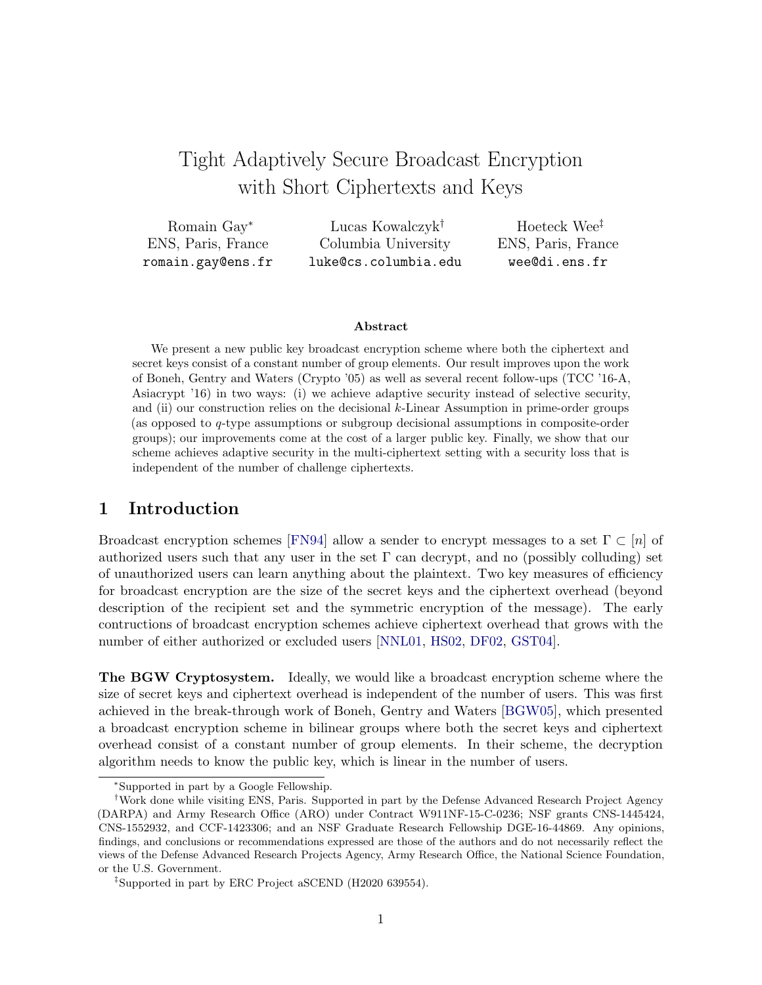# Tight Adaptively Secure Broadcast Encryption with Short Ciphertexts and Keys

Romain Gay<sup>∗</sup> ENS, Paris, France romain.gay@ens.fr Lucas Kowalczyk† Columbia University luke@cs.columbia.edu Hoeteck Wee‡ ENS, Paris, France wee@di.ens.fr

#### Abstract

We present a new public key broadcast encryption scheme where both the ciphertext and secret keys consist of a constant number of group elements. Our result improves upon the work of Boneh, Gentry and Waters (Crypto '05) as well as several recent follow-ups (TCC '16-A, Asiacrypt '16) in two ways: (i) we achieve adaptive security instead of selective security, and (ii) our construction relies on the decisional k-Linear Assumption in prime-order groups (as opposed to  $q$ -type assumptions or subgroup decisional assumptions in composite-order groups); our improvements come at the cost of a larger public key. Finally, we show that our scheme achieves adaptive security in the multi-ciphertext setting with a security loss that is independent of the number of challenge ciphertexts.

# 1 Introduction

Broadcast encryption schemes [\[FN94\]](#page-30-0) allow a sender to encrypt messages to a set  $\Gamma \subset [n]$  of authorized users such that any user in the set  $\Gamma$  can decrypt, and no (possibly colluding) set of unauthorized users can learn anything about the plaintext. Two key measures of efficiency for broadcast encryption are the size of the secret keys and the ciphertext overhead (beyond description of the recipient set and the symmetric encryption of the message). The early contructions of broadcast encryption schemes achieve ciphertext overhead that grows with the number of either authorized or excluded users [\[NNL01,](#page-31-0) [HS02,](#page-31-1) [DF02,](#page-29-0) [GST04\]](#page-30-1).

The BGW Cryptosystem. Ideally, we would like a broadcast encryption scheme where the size of secret keys and ciphertext overhead is independent of the number of users. This was first achieved in the break-through work of Boneh, Gentry and Waters [\[BGW05\]](#page-28-0), which presented a broadcast encryption scheme in bilinear groups where both the secret keys and ciphertext overhead consist of a constant number of group elements. In their scheme, the decryption algorithm needs to know the public key, which is linear in the number of users.

<sup>∗</sup>Supported in part by a Google Fellowship.

<sup>†</sup>Work done while visiting ENS, Paris. Supported in part by the Defense Advanced Research Project Agency (DARPA) and Army Research Office (ARO) under Contract W911NF-15-C-0236; NSF grants CNS-1445424, CNS-1552932, and CCF-1423306; and an NSF Graduate Research Fellowship DGE-16-44869. Any opinions, findings, and conclusions or recommendations expressed are those of the authors and do not necessarily reflect the views of the Defense Advanced Research Projects Agency, Army Research Office, the National Science Foundation, or the U.S. Government.

<sup>‡</sup>Supported in part by ERC Project aSCEND (H2020 639554).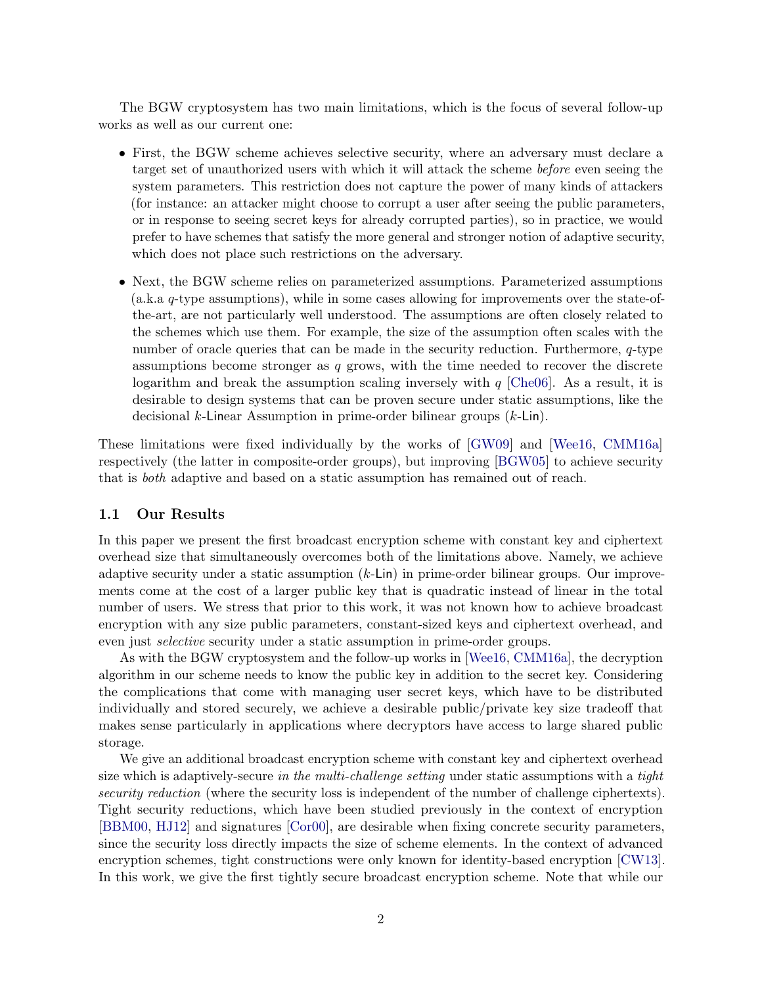The BGW cryptosystem has two main limitations, which is the focus of several follow-up works as well as our current one:

- First, the BGW scheme achieves selective security, where an adversary must declare a target set of unauthorized users with which it will attack the scheme before even seeing the system parameters. This restriction does not capture the power of many kinds of attackers (for instance: an attacker might choose to corrupt a user after seeing the public parameters, or in response to seeing secret keys for already corrupted parties), so in practice, we would prefer to have schemes that satisfy the more general and stronger notion of adaptive security, which does not place such restrictions on the adversary.
- Next, the BGW scheme relies on parameterized assumptions. Parameterized assumptions (a.k.a q-type assumptions), while in some cases allowing for improvements over the state-ofthe-art, are not particularly well understood. The assumptions are often closely related to the schemes which use them. For example, the size of the assumption often scales with the number of oracle queries that can be made in the security reduction. Furthermore,  $q$ -type assumptions become stronger as  $q$  grows, with the time needed to recover the discrete logarithm and break the assumption scaling inversely with  $q$  [\[Che06\]](#page-29-1). As a result, it is desirable to design systems that can be proven secure under static assumptions, like the decisional  $k$ -Linear Assumption in prime-order bilinear groups  $(k$ -Lin).

These limitations were fixed individually by the works of [\[GW09\]](#page-30-2) and [\[Wee16,](#page-31-2) [CMM16a\]](#page-29-2) respectively (the latter in composite-order groups), but improving [\[BGW05\]](#page-28-0) to achieve security that is both adaptive and based on a static assumption has remained out of reach.

#### 1.1 Our Results

In this paper we present the first broadcast encryption scheme with constant key and ciphertext overhead size that simultaneously overcomes both of the limitations above. Namely, we achieve adaptive security under a static assumption  $(k\text{-Lin})$  in prime-order bilinear groups. Our improvements come at the cost of a larger public key that is quadratic instead of linear in the total number of users. We stress that prior to this work, it was not known how to achieve broadcast encryption with any size public parameters, constant-sized keys and ciphertext overhead, and even just *selective* security under a static assumption in prime-order groups.

As with the BGW cryptosystem and the follow-up works in [\[Wee16,](#page-31-2) [CMM16a\]](#page-29-2), the decryption algorithm in our scheme needs to know the public key in addition to the secret key. Considering the complications that come with managing user secret keys, which have to be distributed individually and stored securely, we achieve a desirable public/private key size tradeoff that makes sense particularly in applications where decryptors have access to large shared public storage.

We give an additional broadcast encryption scheme with constant key and ciphertext overhead size which is adaptively-secure in the multi-challenge setting under static assumptions with a tight security reduction (where the security loss is independent of the number of challenge ciphertexts). Tight security reductions, which have been studied previously in the context of encryption [\[BBM00,](#page-28-1) [HJ12\]](#page-30-3) and signatures [\[Cor00\]](#page-29-3), are desirable when fixing concrete security parameters, since the security loss directly impacts the size of scheme elements. In the context of advanced encryption schemes, tight constructions were only known for identity-based encryption [\[CW13\]](#page-29-4). In this work, we give the first tightly secure broadcast encryption scheme. Note that while our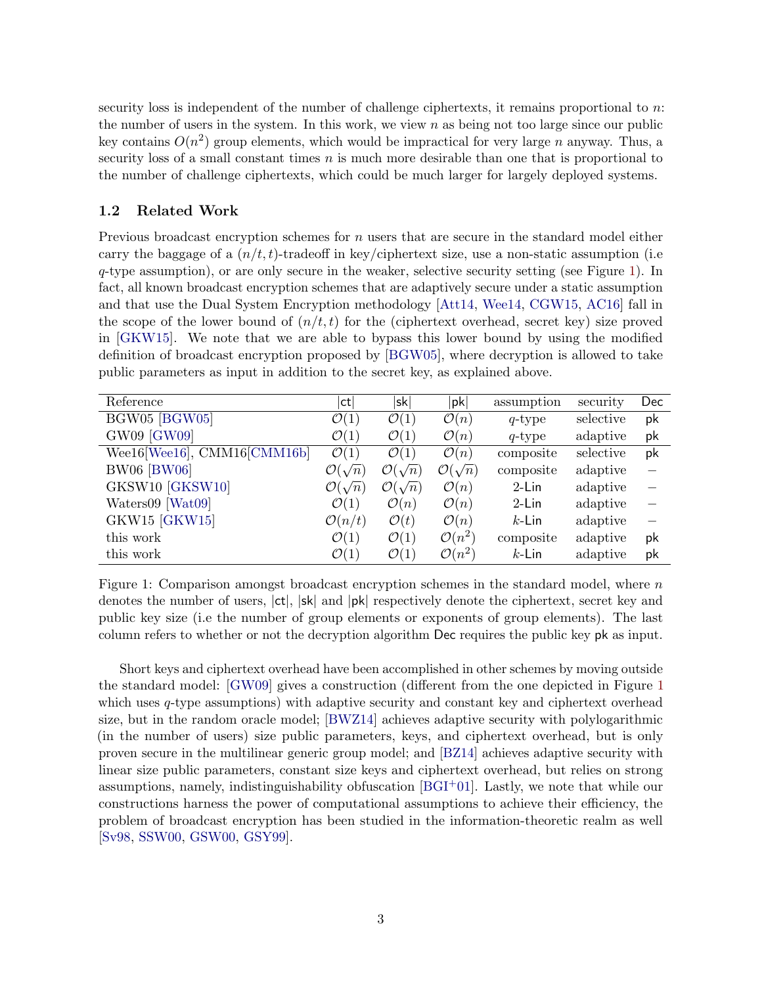security loss is independent of the number of challenge ciphertexts, it remains proportional to  $n$ : the number of users in the system. In this work, we view n as being not too large since our public key contains  $O(n^2)$  group elements, which would be impractical for very large n anyway. Thus, a security loss of a small constant times  $n$  is much more desirable than one that is proportional to the number of challenge ciphertexts, which could be much larger for largely deployed systems.

### 1.2 Related Work

Previous broadcast encryption schemes for  $n$  users that are secure in the standard model either carry the baggage of a  $(n/t, t)$ -tradeoff in key/ciphertext size, use a non-static assumption (i.e. q-type assumption), or are only secure in the weaker, selective security setting (see Figure [1\)](#page-2-0). In fact, all known broadcast encryption schemes that are adaptively secure under a static assumption and that use the Dual System Encryption methodology [\[Att14,](#page-28-2) [Wee14,](#page-31-3) [CGW15,](#page-29-5) [AC16\]](#page-28-3) fall in the scope of the lower bound of  $(n/t, t)$  for the (ciphertext overhead, secret key) size proved in [\[GKW15\]](#page-30-4). We note that we are able to bypass this lower bound by using the modified definition of broadcast encryption proposed by [\[BGW05\]](#page-28-0), where decryption is allowed to take public parameters as input in addition to the secret key, as explained above.

<span id="page-2-0"></span>

| Reference                   | ct                      | $ \mathsf{sk} $         | pk                      | assumption | security  | Dec |
|-----------------------------|-------------------------|-------------------------|-------------------------|------------|-----------|-----|
| <b>BGW05 [BGW05]</b>        | $\mathcal{O}(1)$        | $\mathcal{O}(1)$        | $\mathcal{O}(n)$        | $q$ -type  | selective | pk  |
| GW09 [GW09]                 | $\mathcal{O}(1)$        | $\mathcal{O}(1)$        | $\mathcal{O}(n)$        | $q$ -type  | adaptive  | pk  |
| Wee16[Wee16], CMM16[CMM16b] | $\mathcal{O}(1)$        | $\mathcal{O}(1)$        | $\mathcal{O}(n)$        | composite  | selective | pk  |
| <b>BW06 [BW06]</b>          | $\mathcal{O}(\sqrt{n})$ | $\mathcal{O}(\sqrt{n})$ | $\mathcal{O}(\sqrt{n})$ | composite  | adaptive  |     |
| GKSW10 [GKSW10]             | $\mathcal{O}(\sqrt{n})$ | $\mathcal{O}(\sqrt{n})$ | $\mathcal{O}(n)$        | $2$ -Lin   | adaptive  |     |
| Waters09 [Wat09]            | $\mathcal{O}(1)$        | $\mathcal{O}(n)$        | $\mathcal{O}(n)$        | $2$ -Lin   | adaptive  |     |
| <b>GKW15</b> [GKW15]        | $\mathcal{O}(n/t)$      | $\mathcal{O}(t)$        | $\mathcal{O}(n)$        | $k$ -Lin   | adaptive  |     |
| this work                   | $\mathcal{O}(1)$        | $\mathcal{O}(1)$        | $\mathcal{O}(n^2)$      | composite  | adaptive  | pk  |
| this work                   | $\mathcal{O}(1)$        | $\mathcal{O}(1)$        | $\mathcal{O}(n^2)$      | $k$ -Lin   | adaptive  | pk  |

Figure 1: Comparison amongst broadcast encryption schemes in the standard model, where n denotes the number of users, |ct|, |sk| and |pk| respectively denote the ciphertext, secret key and public key size (i.e the number of group elements or exponents of group elements). The last column refers to whether or not the decryption algorithm Dec requires the public key pk as input.

Short keys and ciphertext overhead have been accomplished in other schemes by moving outside the standard model: [\[GW09\]](#page-30-2) gives a construction (different from the one depicted in Figure [1](#page-2-0) which uses q-type assumptions) with adaptive security and constant key and ciphertext overhead size, but in the random oracle model; [\[BWZ14\]](#page-28-5) achieves adaptive security with polylogarithmic (in the number of users) size public parameters, keys, and ciphertext overhead, but is only proven secure in the multilinear generic group model; and [\[BZ14\]](#page-29-7) achieves adaptive security with linear size public parameters, constant size keys and ciphertext overhead, but relies on strong assumptions, namely, indistinguishability obfuscation [\[BGI](#page-28-6)+01]. Lastly, we note that while our constructions harness the power of computational assumptions to achieve their efficiency, the problem of broadcast encryption has been studied in the information-theoretic realm as well [\[Sv98,](#page-31-5) [SSW00,](#page-31-6) [GSW00,](#page-30-6) [GSY99\]](#page-30-7).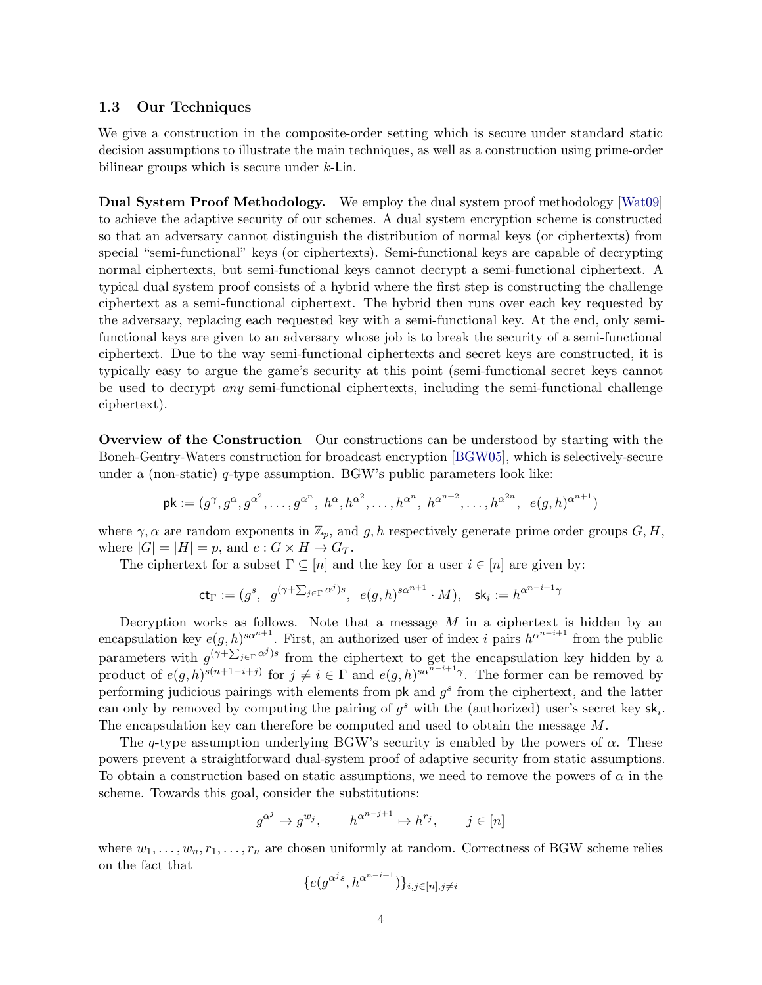#### 1.3 Our Techniques

We give a construction in the composite-order setting which is secure under standard static decision assumptions to illustrate the main techniques, as well as a construction using prime-order bilinear groups which is secure under k-Lin.

Dual System Proof Methodology. We employ the dual system proof methodology [\[Wat09\]](#page-31-4) to achieve the adaptive security of our schemes. A dual system encryption scheme is constructed so that an adversary cannot distinguish the distribution of normal keys (or ciphertexts) from special "semi-functional" keys (or ciphertexts). Semi-functional keys are capable of decrypting normal ciphertexts, but semi-functional keys cannot decrypt a semi-functional ciphertext. A typical dual system proof consists of a hybrid where the first step is constructing the challenge ciphertext as a semi-functional ciphertext. The hybrid then runs over each key requested by the adversary, replacing each requested key with a semi-functional key. At the end, only semifunctional keys are given to an adversary whose job is to break the security of a semi-functional ciphertext. Due to the way semi-functional ciphertexts and secret keys are constructed, it is typically easy to argue the game's security at this point (semi-functional secret keys cannot be used to decrypt any semi-functional ciphertexts, including the semi-functional challenge ciphertext).

Overview of the Construction Our constructions can be understood by starting with the Boneh-Gentry-Waters construction for broadcast encryption [\[BGW05\]](#page-28-0), which is selectively-secure under a (non-static)  $q$ -type assumption. BGW's public parameters look like:

$$
\mathsf{pk} := (g^{\gamma}, g^{\alpha}, g^{\alpha^2}, \dots, g^{\alpha^n}, h^{\alpha}, h^{\alpha^2}, \dots, h^{\alpha^n}, h^{\alpha^{n+2}}, \dots, h^{\alpha^{2n}}, e(g, h)^{\alpha^{n+1}})
$$

where  $\gamma$ ,  $\alpha$  are random exponents in  $\mathbb{Z}_p$ , and  $g, h$  respectively generate prime order groups  $G, H$ , where  $|G| = |H| = p$ , and  $e : G \times H \to G_T$ .

The ciphertext for a subset  $\Gamma \subseteq [n]$  and the key for a user  $i \in [n]$  are given by:

$$
\mathsf{ct}_{\Gamma} := (g^s, \ g^{(\gamma + \sum_{j \in \Gamma} \alpha^j)s}, \ e(g, h)^{s\alpha^{n+1}} \cdot M), \ \ \mathsf{sk}_i := h^{\alpha^{n-i+1}\gamma}
$$

Decryption works as follows. Note that a message  $M$  in a ciphertext is hidden by an encapsulation key  $e(g, h)^{s\alpha^{n+1}}$ . First, an authorized user of index i pairs  $h^{\alpha^{n-i+1}}$  from the public parameters with  $g^{(\gamma+\sum_{j\in\Gamma}\alpha^j)s}$  from the ciphertext to get the encapsulation key hidden by a product of  $e(g, h)^{s(n+1-i+j)}$  for  $j \neq i \in \Gamma$  and  $e(g, h)^{s\alpha^{n-i+1}\gamma}$ . The former can be removed by performing judicious pairings with elements from  $pk$  and  $g<sup>s</sup>$  from the ciphertext, and the latter can only by removed by computing the pairing of  $g^s$  with the (authorized) user's secret key  $sk_i$ . The encapsulation key can therefore be computed and used to obtain the message M.

The q-type assumption underlying BGW's security is enabled by the powers of  $\alpha$ . These powers prevent a straightforward dual-system proof of adaptive security from static assumptions. To obtain a construction based on static assumptions, we need to remove the powers of  $\alpha$  in the scheme. Towards this goal, consider the substitutions:

$$
g^{\alpha^j} \mapsto g^{w_j}, \qquad h^{\alpha^{n-j+1}} \mapsto h^{r_j}, \qquad j \in [n]
$$

where  $w_1, \ldots, w_n, r_1, \ldots, r_n$  are chosen uniformly at random. Correctness of BGW scheme relies on the fact that

$$
\{e(g^{\alpha^j s}, h^{\alpha^{n-i+1}})\}_{i,j \in [n], j \neq i}
$$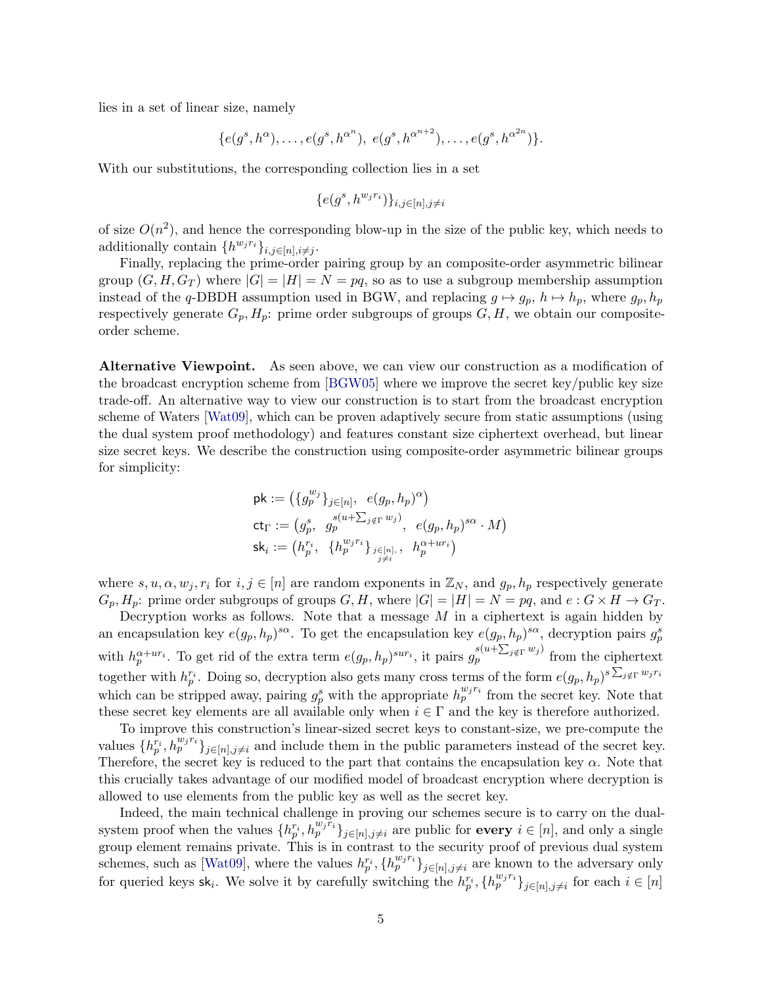lies in a set of linear size, namely

$$
\{e(g^s, h^{\alpha}), \ldots, e(g^s, h^{\alpha^n}), e(g^s, h^{\alpha^{n+2}}), \ldots, e(g^s, h^{\alpha^{2n}})\}.
$$

With our substitutions, the corresponding collection lies in a set

$$
\{e(g^s,h^{w_jr_i})\}_{i,j\in[n],j\neq i}
$$

of size  $O(n^2)$ , and hence the corresponding blow-up in the size of the public key, which needs to additionally contain  $\{h^{w_j r_i}\}_{i,j\in[n], i\neq j}$ .

Finally, replacing the prime-order pairing group by an composite-order asymmetric bilinear group  $(G, H, G_T)$  where  $|G| = |H| = N = pq$ , so as to use a subgroup membership assumption instead of the q-DBDH assumption used in BGW, and replacing  $g \mapsto g_p$ ,  $h \mapsto h_p$ , where  $g_p$ ,  $h_p$ respectively generate  $G_p$ ,  $H_p$ : prime order subgroups of groups  $G$ ,  $H$ , we obtain our compositeorder scheme.

**Alternative Viewpoint.** As seen above, we can view our construction as a modification of the broadcast encryption scheme from [\[BGW05\]](#page-28-0) where we improve the secret key/public key size trade-off. An alternative way to view our construction is to start from the broadcast encryption scheme of Waters [\[Wat09\]](#page-31-4), which can be proven adaptively secure from static assumptions (using the dual system proof methodology) and features constant size ciphertext overhead, but linear size secret keys. We describe the construction using composite-order asymmetric bilinear groups for simplicity:

$$
\begin{aligned} \mathsf{pk} &:= \left(\{g^{w_j}_p\}_{j \in [n]}, \enspace e(g_p, h_p)^\alpha\right) \\ \mathsf{ct}_\Gamma &:= \left(g^s_p, \enspace g^{s(u+\sum_{j \notin \Gamma} w_j)}_p, \enspace e(g_p, h_p)^{s\alpha} \cdot M\right) \\ \mathsf{sk}_i &:= \left(h^{r_i}_p, \enspace \{h^{w_j r_i}_p\}_{\substack{j \in [n], \\ j \neq i}} , \enspace h^{\alpha + u r_i}_p\right) \end{aligned}
$$

where  $s, u, \alpha, w_j, r_i$  for  $i, j \in [n]$  are random exponents in  $\mathbb{Z}_N$ , and  $g_p, h_p$  respectively generate  $G_p, H_p:$  prime order subgroups of groups  $G, H$ , where  $|G| = |H| = N = pq$ , and  $e: G \times H \to G_T$ .

Decryption works as follows. Note that a message  $M$  in a ciphertext is again hidden by an encapsulation key  $e(g_p, h_p)^{s\alpha}$ . To get the encapsulation key  $e(g_p, h_p)^{s\alpha}$ , decryption pairs  $g_p^s$ with  $h_p^{\alpha+ur_i}$ . To get rid of the extra term  $e(g_p, h_p)^{sur_i}$ , it pairs  $g_p^{s(u+\sum_{j \notin \Gamma} w_j)}$  from the ciphertext together with  $h_p^{r_i}$ . Doing so, decryption also gets many cross terms of the form  $e(g_p, h_p)^{s \sum_{j \notin \Gamma} w_j r_i}$ which can be stripped away, pairing  $g_p^s$  with the appropriate  $h_p^{w_j r_i}$  from the secret key. Note that these secret key elements are all available only when  $i \in \Gamma$  and the key is therefore authorized.

To improve this construction's linear-sized secret keys to constant-size, we pre-compute the values  $\{h_p^{r_i}, h_p^{w_j r_i}\}_{j \in [n], j \neq i}$  and include them in the public parameters instead of the secret key. Therefore, the secret key is reduced to the part that contains the encapsulation key  $\alpha$ . Note that this crucially takes advantage of our modified model of broadcast encryption where decryption is allowed to use elements from the public key as well as the secret key.

Indeed, the main technical challenge in proving our schemes secure is to carry on the dualsystem proof when the values  $\{h_p^{r_i}, h_p^{w_j r_i}\}_{j \in [n], j \neq i}$  are public for every  $i \in [n]$ , and only a single group element remains private. This is in contrast to the security proof of previous dual system schemes, such as [\[Wat09\]](#page-31-4), where the values  $h_p^{r_i}, \{h_p^{w_j r_i}\}_{j\in[n], j\neq i}$  are known to the adversary only for queried keys  $\mathsf{sk}_i$ . We solve it by carefully switching the  $h_p^{r_i}, \{h_p^{w_j r_i}\}_{j \in [n], j \neq i}$  for each  $i \in [n]$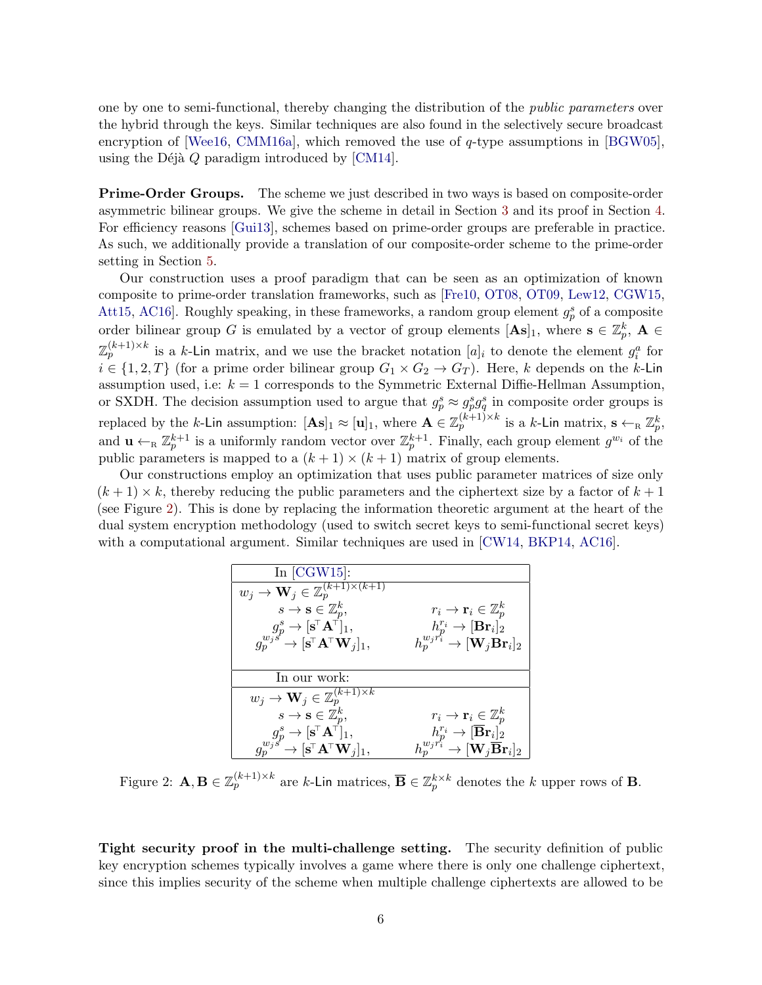one by one to semi-functional, thereby changing the distribution of the public parameters over the hybrid through the keys. Similar techniques are also found in the selectively secure broadcast encryption of [\[Wee16,](#page-31-2) [CMM16a\]](#page-29-2), which removed the use of  $q$ -type assumptions in [\[BGW05\]](#page-28-0), using the Déjà  $Q$  paradigm introduced by [\[CM14\]](#page-29-8).

**Prime-Order Groups.** The scheme we just described in two ways is based on composite-order asymmetric bilinear groups. We give the scheme in detail in Section [3](#page-12-0) and its proof in Section [4.](#page-12-1) For efficiency reasons [\[Gui13\]](#page-30-8), schemes based on prime-order groups are preferable in practice. As such, we additionally provide a translation of our composite-order scheme to the prime-order setting in Section [5.](#page-20-0)

Our construction uses a proof paradigm that can be seen as an optimization of known composite to prime-order translation frameworks, such as [\[Fre10,](#page-30-9) [OT08,](#page-31-7) [OT09,](#page-31-8) [Lew12,](#page-31-9) [CGW15,](#page-29-5) [Att15,](#page-28-7) [AC16\]](#page-28-3). Roughly speaking, in these frameworks, a random group element  $g_p^s$  of a composite order bilinear group G is emulated by a vector of group elements  $[\mathbf{As}]_1$ , where  $\mathbf{s} \in \mathbb{Z}_p^k$ ,  $\mathbf{A} \in$  $\mathbb{Z}_p^{(k+1)\times k}$  is a k-Lin matrix, and we use the bracket notation  $[a]_i$  to denote the element  $g_i^a$  for  $i \in \{1,2,T\}$  (for a prime order bilinear group  $G_1 \times G_2 \rightarrow G_T$ ). Here, k depends on the k-Lin assumption used, i.e:  $k = 1$  corresponds to the Symmetric External Diffie-Hellman Assumption, or SXDH. The decision assumption used to argue that  $g_p^s \approx g_p^s g_q^s$  in composite order groups is replaced by the k-Lin assumption:  $[\mathbf{As}]_1 \approx [\mathbf{u}]_1$ , where  $\mathbf{A} \in \mathbb{Z}_p^{(k+1)\times k}$  is a k-Lin matrix,  $\mathbf{s} \leftarrow_R \mathbb{Z}_p^k$ , and  $\mathbf{u} \leftarrow_R \mathbb{Z}_p^{k+1}$  is a uniformly random vector over  $\mathbb{Z}_p^{k+1}$ . Finally, each group element  $g^{w_i}$  of the public parameters is mapped to a  $(k + 1) \times (k + 1)$  matrix of group elements.

<span id="page-5-0"></span>Our constructions employ an optimization that uses public parameter matrices of size only  $(k+1) \times k$ , thereby reducing the public parameters and the ciphertext size by a factor of  $k+1$ (see Figure [2\)](#page-5-0). This is done by replacing the information theoretic argument at the heart of the dual system encryption methodology (used to switch secret keys to semi-functional secret keys) with a computational argument. Similar techniques are used in [\[CW14,](#page-29-9) [BKP14,](#page-28-8) [AC16\]](#page-28-3).

| In $[CGW15]$ :                                                                                                                                                                              |                                                                                                                                                |
|---------------------------------------------------------------------------------------------------------------------------------------------------------------------------------------------|------------------------------------------------------------------------------------------------------------------------------------------------|
| $w_j \rightarrow \mathbf{W}_j \in \overline{\mathbb{Z}_p^{(k+1)\times (k+1)}}$                                                                                                              |                                                                                                                                                |
| $s \to \mathbf{s} \in \mathbb{Z}_p^k,$                                                                                                                                                      | $r_i \rightarrow \mathbf{r}_i \in \mathbb{Z}_p^k$                                                                                              |
| $\begin{array}{c} g_p^s \rightarrow [{{\mathbf s}^{\!\top}} {\mathbf A}^{\!\top}]_1, \\ g_p^{w_j s} \rightarrow [{{\mathbf s}^{\!\top}} {\mathbf A}^{\!\top} {\mathbf W}_j]_1, \end{array}$ | $h_p^{r_i} \rightarrow [\mathbf{Br}_i]_2$<br>$h_p^{w_j r_i^*} \rightarrow [\mathbf{W}_j \mathbf{Br}_i]_2$                                      |
|                                                                                                                                                                                             |                                                                                                                                                |
|                                                                                                                                                                                             |                                                                                                                                                |
|                                                                                                                                                                                             |                                                                                                                                                |
| In our work:                                                                                                                                                                                |                                                                                                                                                |
| $w_j \rightarrow \mathbf{W}_j \in \mathbb{Z}_p^{(\overline{k+1}) \times k}$                                                                                                                 |                                                                                                                                                |
| $s \to \mathbf{s} \in \mathbb{Z}_p^k,$                                                                                                                                                      | $r_i \rightarrow \mathbf{r}_i \in \mathbb{Z}_p^k$                                                                                              |
| $g_p^{w_j s} \rightarrow [\mathbf{s}^\top \mathbf{A}^\top]_1, \ g_p^{w_j s} \rightarrow [\mathbf{s}^\top \mathbf{A}^\top \mathbf{W}_j]_1,$                                                  | $h_p^{r_i} \rightarrow [\overline{\mathbf{B}} \mathbf{r}_i]_2 \ h_p^{w_j r_i} \rightarrow [\mathbf{W}_j \overline{\mathbf{B}} \mathbf{r}_i]_2$ |

Figure 2:  $\mathbf{A}, \mathbf{B} \in \mathbb{Z}_p^{(k+1)\times k}$  are k-Lin matrices,  $\overline{\mathbf{B}} \in \mathbb{Z}_p^{k\times k}$  denotes the k upper rows of **B**.

Tight security proof in the multi-challenge setting. The security definition of public key encryption schemes typically involves a game where there is only one challenge ciphertext, since this implies security of the scheme when multiple challenge ciphertexts are allowed to be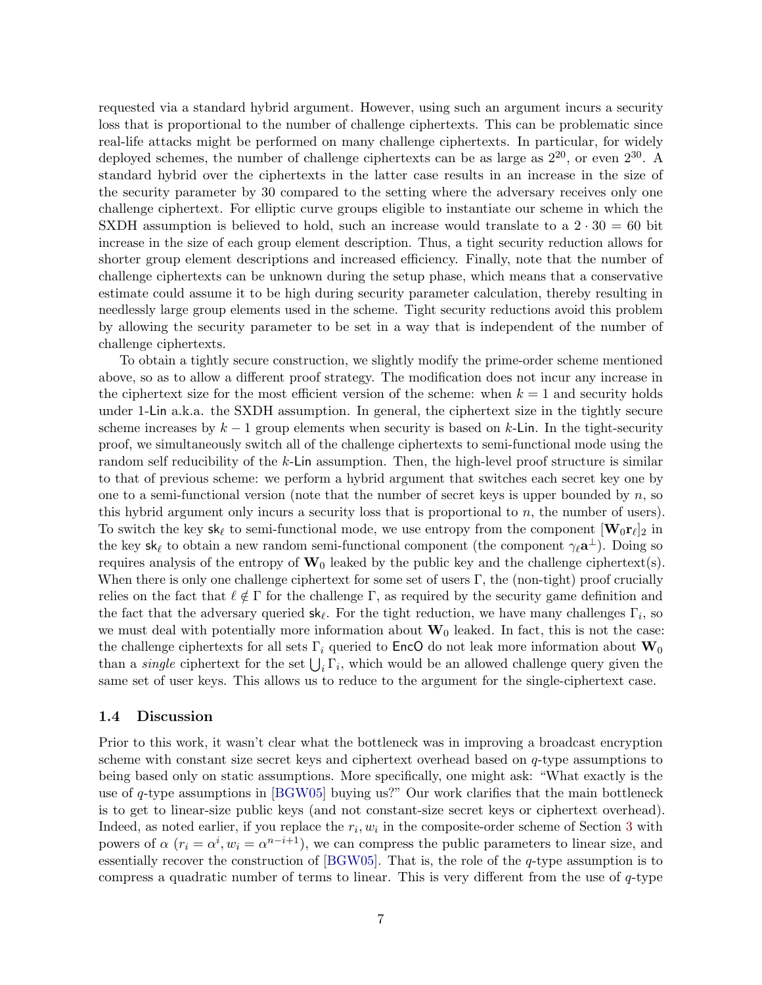requested via a standard hybrid argument. However, using such an argument incurs a security loss that is proportional to the number of challenge ciphertexts. This can be problematic since real-life attacks might be performed on many challenge ciphertexts. In particular, for widely deployed schemes, the number of challenge ciphertexts can be as large as  $2^{20}$ , or even  $2^{30}$ . A standard hybrid over the ciphertexts in the latter case results in an increase in the size of the security parameter by 30 compared to the setting where the adversary receives only one challenge ciphertext. For elliptic curve groups eligible to instantiate our scheme in which the SXDH assumption is believed to hold, such an increase would translate to a  $2 \cdot 30 = 60$  bit increase in the size of each group element description. Thus, a tight security reduction allows for shorter group element descriptions and increased efficiency. Finally, note that the number of challenge ciphertexts can be unknown during the setup phase, which means that a conservative estimate could assume it to be high during security parameter calculation, thereby resulting in needlessly large group elements used in the scheme. Tight security reductions avoid this problem by allowing the security parameter to be set in a way that is independent of the number of challenge ciphertexts.

To obtain a tightly secure construction, we slightly modify the prime-order scheme mentioned above, so as to allow a different proof strategy. The modification does not incur any increase in the ciphertext size for the most efficient version of the scheme: when  $k = 1$  and security holds under 1-Lin a.k.a. the SXDH assumption. In general, the ciphertext size in the tightly secure scheme increases by  $k-1$  group elements when security is based on k-Lin. In the tight-security proof, we simultaneously switch all of the challenge ciphertexts to semi-functional mode using the random self reducibility of the  $k$ -Lin assumption. Then, the high-level proof structure is similar to that of previous scheme: we perform a hybrid argument that switches each secret key one by one to a semi-functional version (note that the number of secret keys is upper bounded by  $n$ , so this hybrid argument only incurs a security loss that is proportional to  $n$ , the number of users). To switch the key  $sk_\ell$  to semi-functional mode, we use entropy from the component  $[\mathbf{W}_0 \mathbf{r}_\ell]_2$  in the key  $sk_{\ell}$  to obtain a new random semi-functional component (the component  $\gamma_{\ell}a^{\perp}$ ). Doing so requires analysis of the entropy of  $\mathbf{W}_0$  leaked by the public key and the challenge ciphertext(s). When there is only one challenge ciphertext for some set of users  $\Gamma$ , the (non-tight) proof crucially relies on the fact that  $\ell \notin \Gamma$  for the challenge  $\Gamma$ , as required by the security game definition and the fact that the adversary queried  $\mathsf{sk}_{\ell}$ . For the tight reduction, we have many challenges  $\Gamma_i$ , so we must deal with potentially more information about  $\mathbf{W}_0$  leaked. In fact, this is not the case: the challenge ciphertexts for all sets  $\Gamma_i$  queried to EncO do not leak more information about  $\mathbf{W}_0$ than a *single* ciphertext for the set  $\bigcup_i \Gamma_i$ , which would be an allowed challenge query given the same set of user keys. This allows us to reduce to the argument for the single-ciphertext case.

## 1.4 Discussion

Prior to this work, it wasn't clear what the bottleneck was in improving a broadcast encryption scheme with constant size secret keys and ciphertext overhead based on q-type assumptions to being based only on static assumptions. More specifically, one might ask: "What exactly is the use of q-type assumptions in [\[BGW05\]](#page-28-0) buying us?" Our work clarifies that the main bottleneck is to get to linear-size public keys (and not constant-size secret keys or ciphertext overhead). Indeed, as noted earlier, if you replace the  $r_i, w_i$  in the composite-order scheme of Section [3](#page-12-0) with powers of  $\alpha$  ( $r_i = \alpha^i, w_i = \alpha^{n-i+1}$ ), we can compress the public parameters to linear size, and essentially recover the construction of [\[BGW05\]](#page-28-0). That is, the role of the q-type assumption is to compress a quadratic number of terms to linear. This is very different from the use of  $q$ -type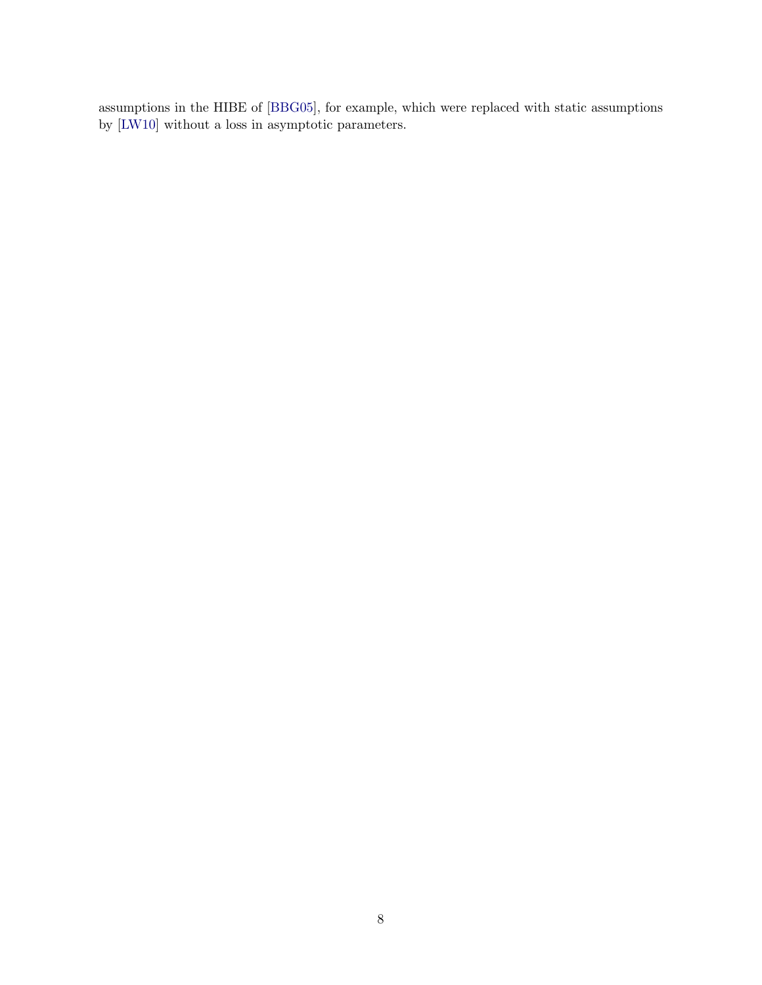assumptions in the HIBE of [\[BBG05\]](#page-28-9), for example, which were replaced with static assumptions by [\[LW10\]](#page-31-10) without a loss in asymptotic parameters.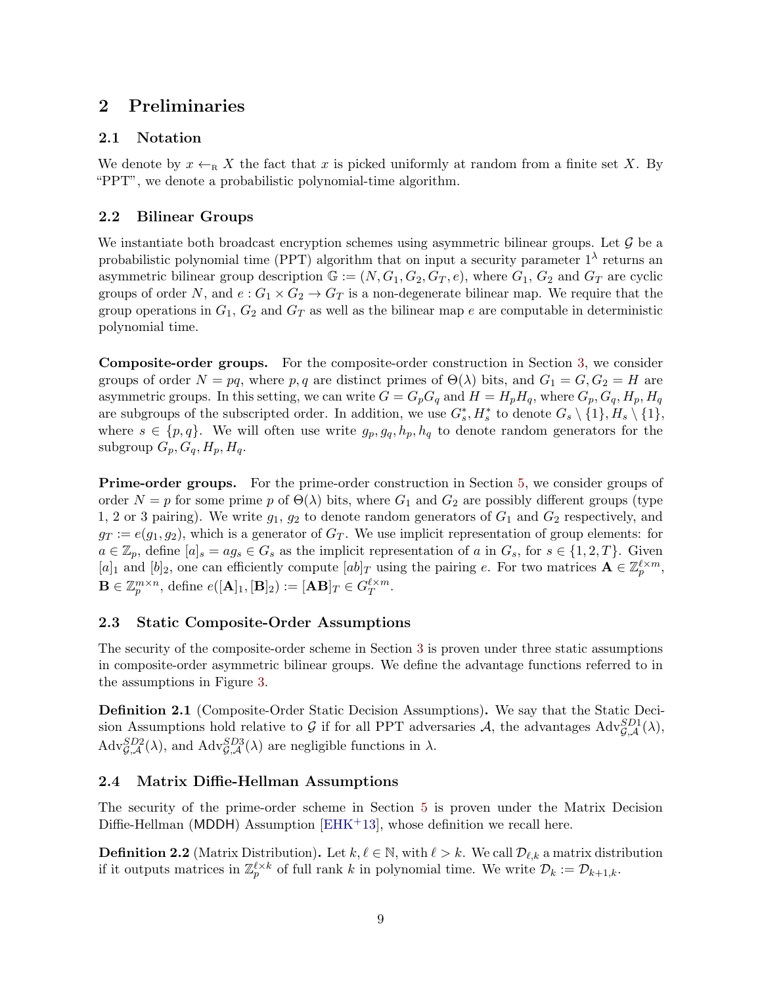# 2 Preliminaries

## 2.1 Notation

We denote by  $x \leftarrow_R X$  the fact that x is picked uniformly at random from a finite set X. By "PPT", we denote a probabilistic polynomial-time algorithm.

## 2.2 Bilinear Groups

We instantiate both broadcast encryption schemes using asymmetric bilinear groups. Let  $\mathcal G$  be a probabilistic polynomial time (PPT) algorithm that on input a security parameter  $1^{\lambda}$  returns an asymmetric bilinear group description  $\mathbb{G} := (N, G_1, G_2, G_T, e)$ , where  $G_1, G_2$  and  $G_T$  are cyclic groups of order N, and  $e: G_1 \times G_2 \to G_T$  is a non-degenerate bilinear map. We require that the group operations in  $G_1$ ,  $G_2$  and  $G_T$  as well as the bilinear map e are computable in deterministic polynomial time.

Composite-order groups. For the composite-order construction in Section [3,](#page-12-0) we consider groups of order  $N = pq$ , where p, q are distinct primes of  $\Theta(\lambda)$  bits, and  $G_1 = G, G_2 = H$  are asymmetric groups. In this setting, we can write  $G = G_p G_q$  and  $H = H_p H_q$ , where  $G_p, G_q, H_p, H_q$ are subgroups of the subscripted order. In addition, we use  $G_s^*, H_s^*$  to denote  $G_s \setminus \{1\}, H_s \setminus \{1\},$ where  $s \in \{p, q\}$ . We will often use write  $g_p, g_q, h_p, h_q$  to denote random generators for the subgroup  $G_p, G_q, H_p, H_q$ .

**Prime-order groups.** For the prime-order construction in Section [5,](#page-20-0) we consider groups of order  $N = p$  for some prime p of  $\Theta(\lambda)$  bits, where  $G_1$  and  $G_2$  are possibly different groups (type 1, 2 or 3 pairing). We write  $g_1, g_2$  to denote random generators of  $G_1$  and  $G_2$  respectively, and  $g_T := e(g_1, g_2)$ , which is a generator of  $G_T$ . We use implicit representation of group elements: for  $a \in \mathbb{Z}_p$ , define  $[a]_s = ag_s \in G_s$  as the implicit representation of a in  $G_s$ , for  $s \in \{1,2,T\}$ . Given [a]<sub>1</sub> and [b]<sub>2</sub>, one can efficiently compute  $[ab]_T$  using the pairing e. For two matrices  $\mathbf{A} \in \mathbb{Z}_p^{\ell \times m}$ ,  $\mathbf{B} \in \mathbb{Z}_p^{m \times n}$ , define  $e([\mathbf{A}]_1, [\mathbf{B}]_2) := [\mathbf{A}\mathbf{B}]_T \in G_T^{\ell \times m}$  $_{T}^{\ell \times m}.$ 

## 2.3 Static Composite-Order Assumptions

The security of the composite-order scheme in Section [3](#page-12-0) is proven under three static assumptions in composite-order asymmetric bilinear groups. We define the advantage functions referred to in the assumptions in Figure [3.](#page-9-0)

<span id="page-8-0"></span>Definition 2.1 (Composite-Order Static Decision Assumptions). We say that the Static Decision Assumptions hold relative to G if for all PPT adversaries  $A$ , the advantages  $\text{Adv}_{\mathcal{G},\mathcal{A}}^{SD1}(\lambda)$ ,  $\mathrm{Adv}_{\mathcal{G},\mathcal{A}}^{SD2}(\lambda)$ , and  $\mathrm{Adv}_{\mathcal{G},\mathcal{A}}^{SD3}(\lambda)$  are negligible functions in  $\lambda$ .

## 2.4 Matrix Diffie-Hellman Assumptions

The security of the prime-order scheme in Section [5](#page-20-0) is proven under the Matrix Decision Diffie-Hellman (MDDH) Assumption  $[EHK+13]$ , whose definition we recall here.

**Definition 2.2** (Matrix Distribution). Let  $k, \ell \in \mathbb{N}$ , with  $\ell > k$ . We call  $\mathcal{D}_{\ell,k}$  a matrix distribution if it outputs matrices in  $\mathbb{Z}_p^{\ell \times k}$  of full rank k in polynomial time. We write  $\mathcal{D}_k := \mathcal{D}_{k+1,k}$ .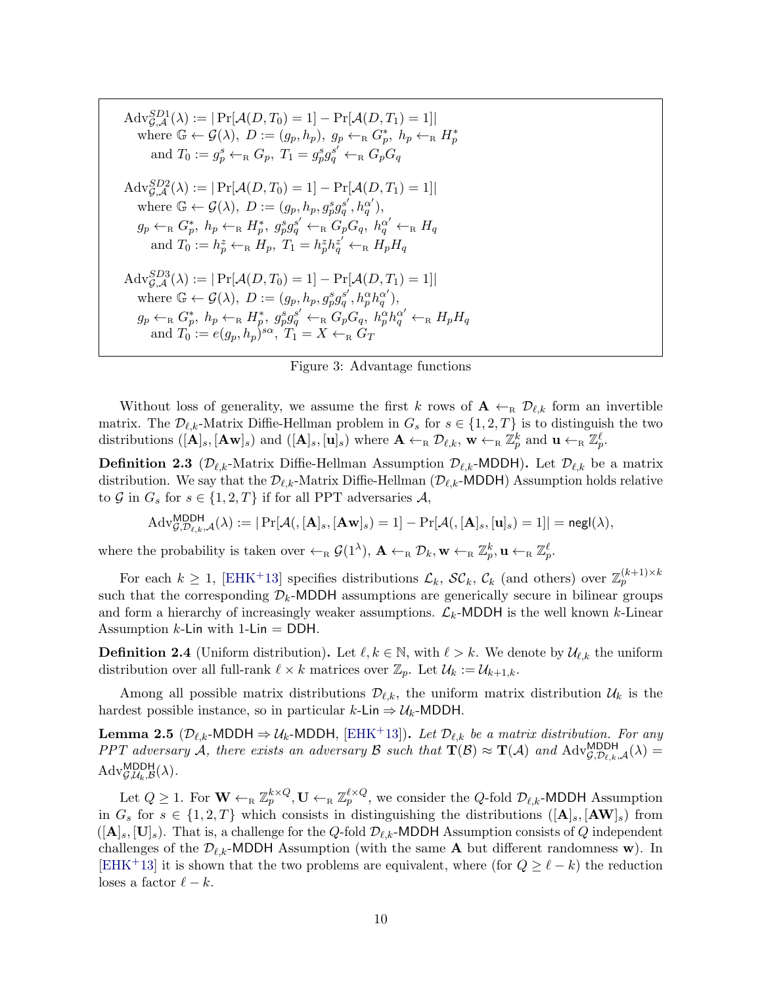<span id="page-9-0"></span>
$$
Adv_{G,A}^{SD1}(\lambda) := | \Pr[\mathcal{A}(D, T_0) = 1] - \Pr[\mathcal{A}(D, T_1) = 1] |
$$
  
\nwhere  $\mathbb{G} \leftarrow \mathcal{G}(\lambda), D := (g_p, h_p), g_p \leftarrow_R G_p^*, h_p \leftarrow_R H_p^*$   
\nand  $T_0 := g_p^s \leftarrow_R G_p, T_1 = g_p^s g_q^{s'} \leftarrow_R G_p G_q$   
\n
$$
Adv_{G,A}^{SD2}(\lambda) := | \Pr[\mathcal{A}(D, T_0) = 1] - \Pr[\mathcal{A}(D, T_1) = 1] |
$$
  
\nwhere  $\mathbb{G} \leftarrow \mathcal{G}(\lambda), D := (g_p, h_p, g_p^s g_q^{s'}, h_q^{\alpha'})$ ,  
\n $g_p \leftarrow_R G_p^*, h_p \leftarrow_R H_p^*, g_p^s g_q^{s'} \leftarrow_R G_p G_q, h_q^{\alpha'} \leftarrow_R H_q$   
\nand  $T_0 := h_p^z \leftarrow_R H_p, T_1 = h_p^z h_q^{z'} \leftarrow_R H_p H_q$   
\n
$$
Adv_{G,A}^{SD3}(\lambda) := | \Pr[\mathcal{A}(D, T_0) = 1] - \Pr[\mathcal{A}(D, T_1) = 1] |
$$
  
\nwhere  $\mathbb{G} \leftarrow \mathcal{G}(\lambda), D := (g_p, h_p, g_p^s g_q^{s'}, h_p^{\alpha} h_q^{\alpha'})$ ,  
\n $g_p \leftarrow_R G_p^*, h_p \leftarrow_R H_p^*, g_p^s g_q^{s'} \leftarrow_R G_p G_q, h_p^{\alpha} h_q^{\alpha'} \leftarrow_R H_p H_q$   
\nand  $T_0 := e(g_p, h_p)^{ss}, T_1 = X \leftarrow_R G_T$ 

Figure 3: Advantage functions

Without loss of generality, we assume the first k rows of  $A \leftarrow_R \mathcal{D}_{\ell,k}$  form an invertible matrix. The  $\mathcal{D}_{\ell,k}$ -Matrix Diffie-Hellman problem in  $G_s$  for  $s \in \{1,2,T\}$  is to distinguish the two distributions  $([\mathbf{A}]_s, [\mathbf{A}\mathbf{w}]_s)$  and  $([\mathbf{A}]_s, [\mathbf{u}]_s)$  where  $\mathbf{A} \leftarrow_R \mathcal{D}_{\ell,k}$ ,  $\mathbf{w} \leftarrow_R \mathbb{Z}_p^k$  and  $\mathbf{u} \leftarrow_R \mathbb{Z}_p^{\ell}$ .

<span id="page-9-1"></span>**Definition 2.3** ( $\mathcal{D}_{\ell,k}$ -Matrix Diffie-Hellman Assumption  $\mathcal{D}_{\ell,k}$ -MDDH). Let  $\mathcal{D}_{\ell,k}$  be a matrix distribution. We say that the  $\mathcal{D}_{\ell,k}$ -Matrix Diffie-Hellman ( $\mathcal{D}_{\ell,k}$ -MDDH) Assumption holds relative to G in  $G_s$  for  $s \in \{1, 2, T\}$  if for all PPT adversaries A,

$$
\mathrm{Adv}_{\mathcal{G},\mathcal{D}_{\ell,k},\mathcal{A}}^{\mathsf{MDDH}}(\lambda) := |\Pr[\mathcal{A}(,[\mathbf{A}]_s,[\mathbf{A}\mathbf{w}]_s) = 1] - \Pr[\mathcal{A}(,[\mathbf{A}]_s,[\mathbf{u}]_s) = 1]| = \mathsf{negl}(\lambda),
$$

where the probability is taken over  $\leftarrow_R \mathcal{G}(1^{\lambda}), \mathbf{A} \leftarrow_R \mathcal{D}_k, \mathbf{w} \leftarrow_R \mathbb{Z}_p^k, \mathbf{u} \leftarrow_R \mathbb{Z}_p^{\ell}.$ 

For each  $k \geq 1$ , [\[EHK](#page-29-10)<sup>+</sup>13] specifies distributions  $\mathcal{L}_k$ ,  $\mathcal{SC}_k$ ,  $\mathcal{C}_k$  (and others) over  $\mathbb{Z}_p^{(k+1)\times k}$ such that the corresponding  $\mathcal{D}_k$ -MDDH assumptions are generically secure in bilinear groups and form a hierarchy of increasingly weaker assumptions.  $\mathcal{L}_k$ -MDDH is the well known k-Linear Assumption  $k$ -Lin with 1-Lin = DDH.

**Definition 2.4** (Uniform distribution). Let  $\ell, k \in \mathbb{N}$ , with  $\ell > k$ . We denote by  $\mathcal{U}_{\ell,k}$  the uniform distribution over all full-rank  $\ell \times k$  matrices over  $\mathbb{Z}_p$ . Let  $\mathcal{U}_k := \mathcal{U}_{k+1,k}$ .

Among all possible matrix distributions  $\mathcal{D}_{\ell,k}$ , the uniform matrix distribution  $\mathcal{U}_k$  is the hardest possible instance, so in particular  $k$ -Lin  $\Rightarrow \mathcal{U}_k$ -MDDH.

<span id="page-9-3"></span>**Lemma 2.5** ( $\mathcal{D}_{\ell,k}$ -MDDH  $\Rightarrow \mathcal{U}_k$ -MDDH, [\[EHK](#page-29-10)<sup>+</sup>13]). Let  $\mathcal{D}_{\ell,k}$  be a matrix distribution. For any PPT adversary  $\mathcal{A}$ , there exists an adversary  $\mathcal{B}$  such that  $\mathbf{T}(\mathcal{B}) \approx \mathbf{T}(\mathcal{A})$  and  $\text{Adv}_{\mathcal{G},\mathcal{D}_{\ell,k},\mathcal{A}}^{\text{MDDH}}(\lambda)$  $\mathrm{Adv}_{\mathcal{G},\mathcal{U}_k,\mathcal{B}}^{\mathsf{MDDH}}(\lambda).$ 

<span id="page-9-2"></span>Let  $Q \geq 1$ . For  $\mathbf{W} \leftarrow_R \mathbb{Z}_p^{k \times Q}, \mathbf{U} \leftarrow_R \mathbb{Z}_p^{\ell \times Q}$ , we consider the Q-fold  $\mathcal{D}_{\ell,k}$ -MDDH Assumption in  $G_s$  for  $s \in \{1,2,T\}$  which consists in distinguishing the distributions  $([\mathbf{A}]_s, [\mathbf{A}\mathbf{W}]_s)$  from  $([A]_s, [U]_s)$ . That is, a challenge for the Q-fold  $\mathcal{D}_{\ell,k}$ -MDDH Assumption consists of Q independent challenges of the  $\mathcal{D}_{\ell,k}$ -MDDH Assumption (with the same A but different randomness w). In [\[EHK](#page-29-10)<sup>+</sup>13] it is shown that the two problems are equivalent, where (for  $Q \ge \ell - k$ ) the reduction loses a factor  $\ell - k$ .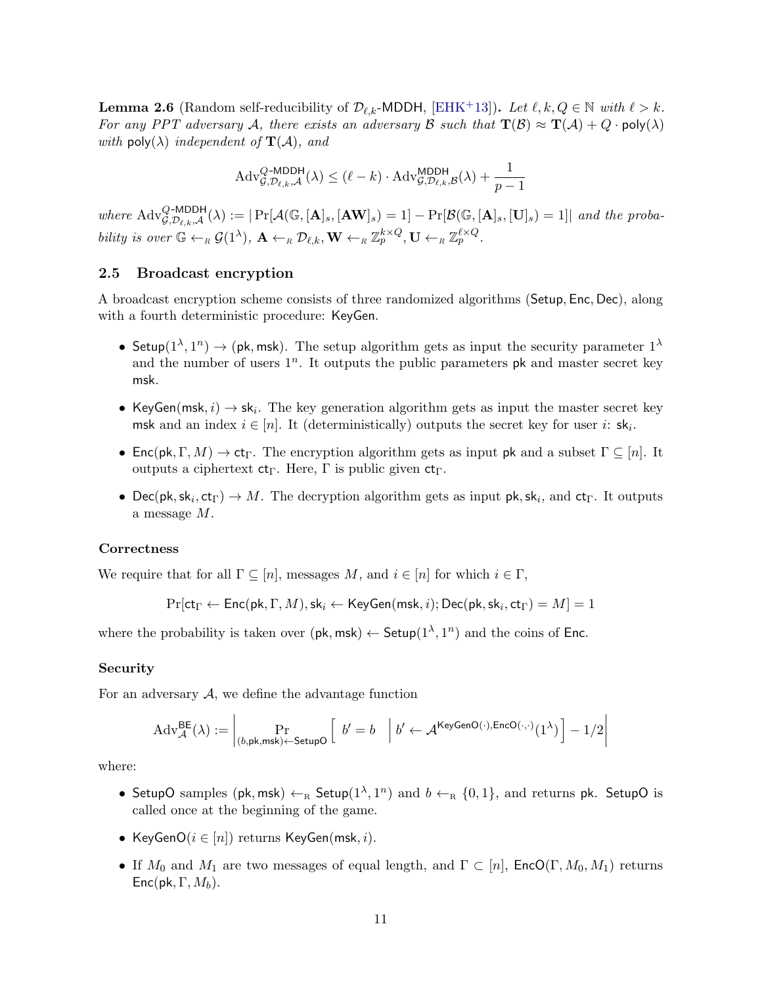**Lemma 2.6** (Random self-reducibility of  $\mathcal{D}_{\ell,k}$ -MDDH, [\[EHK](#page-29-10)<sup>+</sup>13]). Let  $\ell, k, Q \in \mathbb{N}$  with  $\ell > k$ . For any PPT adversary A, there exists an adversary B such that  $\mathbf{T}(\mathcal{B}) \approx \mathbf{T}(\mathcal{A}) + Q \cdot \mathsf{poly}(\lambda)$ with poly( $\lambda$ ) independent of  $\mathbf{T}(\mathcal{A})$ , and

$$
\mathrm{Adv}_{\mathcal{G},\mathcal{D}_{\ell,k},\mathcal{A}}^{\mathcal{Q}\text{-MDDH}}(\lambda) \leq (\ell-k)\cdot \mathrm{Adv}_{\mathcal{G},\mathcal{D}_{\ell,k},\mathcal{B}}^{\mathsf{MDDH}}(\lambda) + \frac{1}{p-1}
$$

where  $\mathrm{Adv}_{\mathcal{G},\mathcal{D}_{\ell,k},\mathcal{A}}^{\mathcal{Q}\text{-MDDH}}(\lambda) := |\Pr[\mathcal{A}(\mathbb{G}, [\mathbf{A}]_s, [\mathbf{A}\mathbf{W}]_s) = 1] - \Pr[\mathcal{B}(\mathbb{G}, [\mathbf{A}]_s, [\mathbf{U}]_s) = 1]|$  and the probability is over  $\mathbb{G} \leftarrow_R \mathcal{G}(1^{\lambda}), \ \mathbf{A} \leftarrow_R \mathcal{D}_{\ell,k}, \mathbf{W} \leftarrow_R \mathbb{Z}_p^{k \times Q}, \mathbf{U} \leftarrow_R \mathbb{Z}_p^{\ell \times Q}.$ 

## <span id="page-10-0"></span>2.5 Broadcast encryption

A broadcast encryption scheme consists of three randomized algorithms (Setup, Enc, Dec), along with a fourth deterministic procedure: KeyGen.

- Setup( $1^{\lambda}, 1^{n}$ )  $\rightarrow$  (pk, msk). The setup algorithm gets as input the security parameter  $1^{\lambda}$ and the number of users  $1^n$ . It outputs the public parameters pk and master secret key msk.
- KeyGen(msk,  $i) \rightarrow$  sk<sub>i</sub>. The key generation algorithm gets as input the master secret key msk and an index  $i \in [n]$ . It (deterministically) outputs the secret key for user i:  $sk_i$ .
- Enc(pk,  $\Gamma, M$ )  $\to$  ct<sub> $\Gamma$ </sub>. The encryption algorithm gets as input pk and a subset  $\Gamma \subset [n]$ . It outputs a ciphertext  $ct_\Gamma$ . Here,  $\Gamma$  is public given  $ct_\Gamma$ .
- Dec(pk, sk<sub>i</sub>, ct<sub>Γ</sub>)  $\rightarrow$  *M*. The decryption algorithm gets as input pk, sk<sub>i</sub>, and ct<sub>Γ</sub>. It outputs a message M.

#### **Correctness**

We require that for all  $\Gamma \subseteq [n]$ , messages M, and  $i \in [n]$  for which  $i \in \Gamma$ ,

$$
\Pr[\mathsf{ctr}_\Gamma \leftarrow \mathsf{Enc}(\mathsf{pk}, \Gamma, M), \mathsf{sk}_i \leftarrow \mathsf{KeyGen}(\mathsf{msk}, i); \mathsf{Dec}(\mathsf{pk}, \mathsf{sk}_i, \mathsf{ctr}_\Gamma) = M] = 1
$$

where the probability is taken over  $(\mathsf{pk}, \mathsf{msk}) \leftarrow \mathsf{Setup}(1^{\lambda}, 1^n)$  and the coins of Enc.

#### Security

For an adversary  $A$ , we define the advantage function

$$
\mathrm{Adv}_{\mathcal{A}}^{\mathsf{BE}}(\lambda) := \left|\Pr_{(b,\mathsf{pk},\mathsf{msk}) \leftarrow \mathsf{SetupO}} \left[ \begin{array}{c} b' = b \\ \end{array} \right. \left| \begin{array}{c} b' \leftarrow \mathcal{A}^{\mathsf{KeyGenO}(\cdot),\mathsf{EncO}(\cdot,\cdot)}(1^{\lambda}) \end{array} \right] - 1/2 \right| \right|
$$

where:

- SetupO samples  $(\mathsf{pk}, \mathsf{msk}) \leftarrow_R \mathsf{Setup}(1^{\lambda}, 1^n)$  and  $b \leftarrow_R \{0, 1\}$ , and returns pk. SetupO is called once at the beginning of the game.
- KeyGen $O(i \in [n])$  returns KeyGen(msk, i).
- If  $M_0$  and  $M_1$  are two messages of equal length, and  $\Gamma \subset [n]$ ,  $\mathsf{EncO}(\Gamma, M_0, M_1)$  returns  $Enc(\mathsf{pk}, \Gamma, M_b)$ .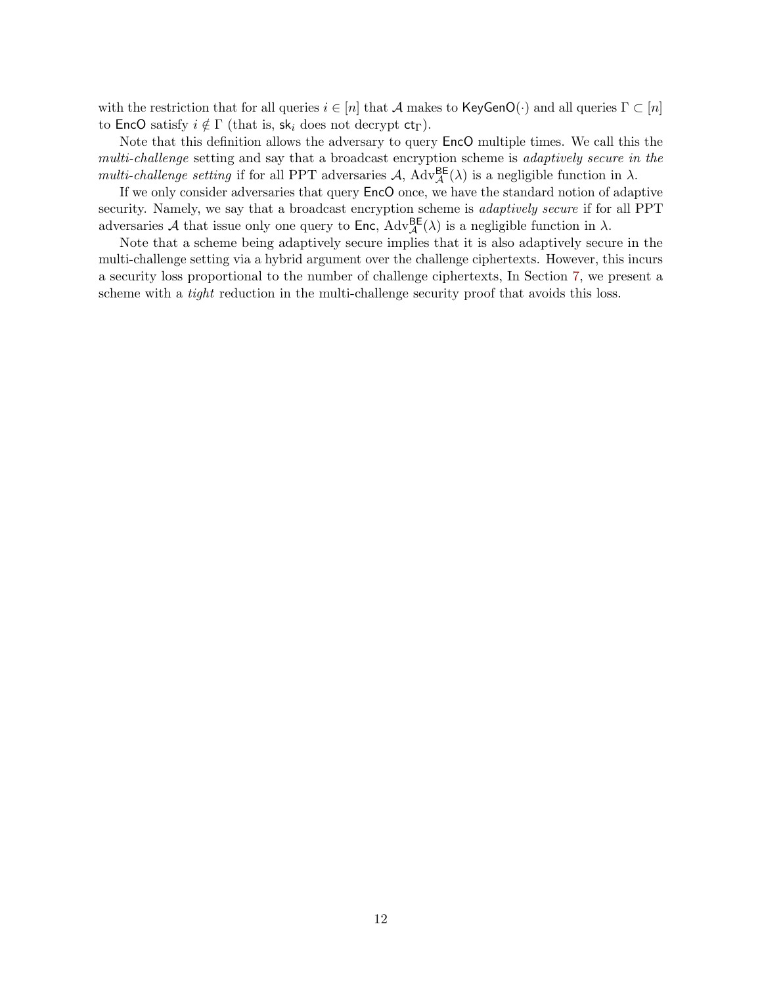with the restriction that for all queries  $i \in [n]$  that A makes to KeyGenO( $\cdot$ ) and all queries  $\Gamma \subset [n]$ to EncO satisfy  $i \notin \Gamma$  (that is, sk<sub>i</sub> does not decrypt ct<sub>Γ</sub>).

Note that this definition allows the adversary to query EncO multiple times. We call this the multi-challenge setting and say that a broadcast encryption scheme is adaptively secure in the multi-challenge setting if for all PPT adversaries A,  $Adv_{\mathcal{A}}^{BE}(\lambda)$  is a negligible function in  $\lambda$ .

If we only consider adversaries that query EncO once, we have the standard notion of adaptive security. Namely, we say that a broadcast encryption scheme is *adaptively secure* if for all PPT adversaries A that issue only one query to  $\mathsf{Enc}$ ,  $\mathrm{Adv}_{\mathcal{A}}^{\mathsf{BE}}(\lambda)$  is a negligible function in  $\lambda$ .

Note that a scheme being adaptively secure implies that it is also adaptively secure in the multi-challenge setting via a hybrid argument over the challenge ciphertexts. However, this incurs a security loss proportional to the number of challenge ciphertexts, In Section [7,](#page-24-0) we present a scheme with a *tight* reduction in the multi-challenge security proof that avoids this loss.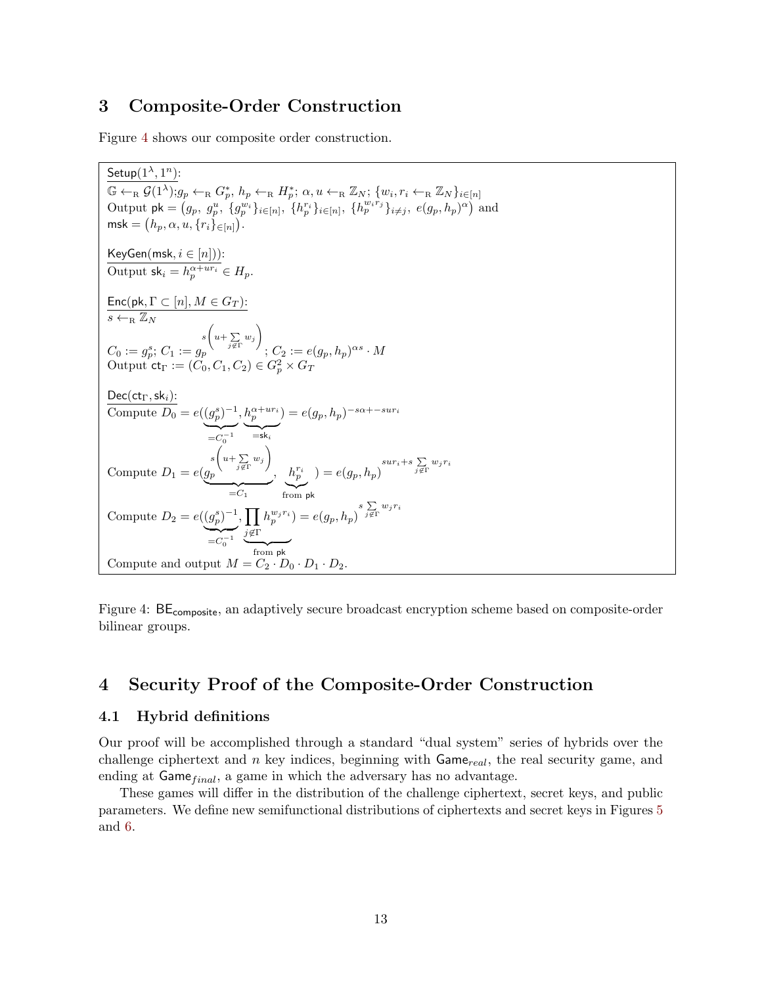# <span id="page-12-0"></span>3 Composite-Order Construction

Figure [4](#page-12-2) shows our composite order construction.

<span id="page-12-2"></span>Setup $(1^{\lambda}, 1^n)$ :  $\mathbb{G} \leftarrow_R \mathcal{G}(1^{\lambda});$ g<sub>p</sub>  $\leftarrow_R G_p^*$ ,  $h_p \leftarrow_R H_p^*$ ;  $\alpha, u \leftarrow_R \mathbb{Z}_N$ ;  $\{w_i, r_i \leftarrow_R \mathbb{Z}_N\}_{i \in [n]}$ Output  $pk = (g_p, g_p^u, \{g_p^{w_i}\}_{i \in [n]}, \{h_p^{r_i}\}_{i \in [n]}, \{h_p^{w_i r_j}\}_{i \neq j}, e(g_p, h_p)^{\alpha})$  and  $\mathsf{msk} = (h_p, \alpha, u, \{r_i\}_{i \in [n]})$ . KeyGen(msk,  $i \in [n]$ ): Output  $\mathsf{sk}_i = h_p^{\alpha + ur_i} \in H_p$ .  $\mathsf{Enc}(\mathsf{pk}, \Gamma \subset [n], M \in G_T)$ :  $s \leftarrow_R \mathbb{Z}_N$  $C_0 := g_p^s; C_1 := g$  $s\left(u+\sum\limits_{j\not\in \Gamma}w_j\right)$  $p^{\lambda} \quad \stackrel{j \not \in \Gamma}{\longrightarrow} \, ; \, C_2 := e(g_p,h_p)^{\alpha s} \cdot M$ Output  $ct_\Gamma := (C_0, C_1, C_2) \in G_p^2 \times G_T$  $\mathsf{Dec}(\mathsf{ct}_\Gamma,\mathsf{sk}_i)$ : Compute  $D_0 = e((g_p^s)^{-1})$  $=C_0^{-1}$  $h_p^{\alpha+ur_i}$  $=$ sk<sub>i</sub>  $) = e(g_p, h_p)^{-s\alpha + -sur_i}$ Compute  $D_1 = e(g)$  $s\left(u+\sum_{j\notin\Gamma}w_j\right)$  $($ p  $\overline{\phantom{a}}$  =  $C_1$  $h_p^{r_i}$  $\sum_{\text{from pk}}$  $)=e(g_p,h_p)^{sur_i+s}\sum\limits_{j\not\in \Gamma} w_jr_i$ Compute  $D_2 = e((g_p^s)^{-1})$  $= C_0^{-1}$ ,  $\Pi$ j∉Γ  $h_p^{w_j r_i}$ from pk  $)=e(g_p,h_p)^{s\sum\limits_{j\not\in\Gamma}w_jr_i}$ Compute and output  $M = C_2 \cdot D_0 \cdot D_1 \cdot D_2$ .

Figure 4: BE<sub>composite</sub>, an adaptively secure broadcast encryption scheme based on composite-order bilinear groups.

# <span id="page-12-1"></span>4 Security Proof of the Composite-Order Construction

## 4.1 Hybrid definitions

Our proof will be accomplished through a standard "dual system" series of hybrids over the challenge ciphertext and  $n$  key indices, beginning with  $Game_{real}$ , the real security game, and ending at  $Gamma_{final}$ , a game in which the adversary has no advantage.

These games will differ in the distribution of the challenge ciphertext, secret keys, and public parameters. We define new semifunctional distributions of ciphertexts and secret keys in Figures [5](#page-13-0) and [6.](#page-13-1)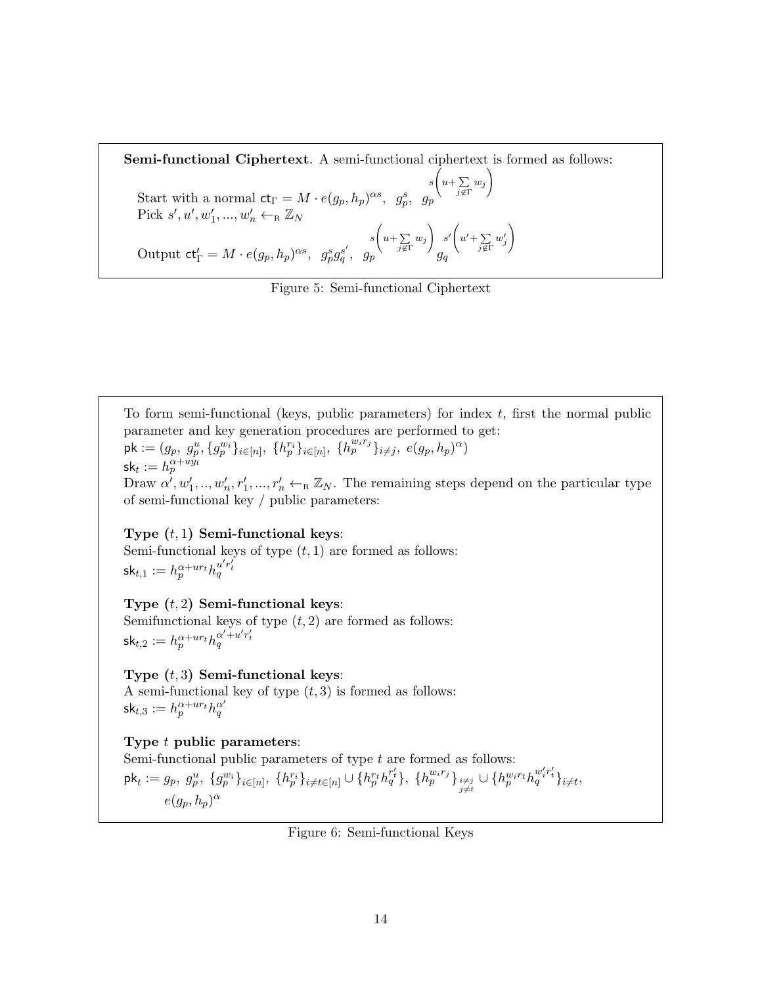<span id="page-13-0"></span>Semi-functional Ciphertext. A semi-functional ciphertext is formed as follows: Start with a normal  $ct_{\Gamma} = M \cdot e(g_p, h_p)^{\alpha s}, g_p^s, g_p^s$  $s\left(u+\sum\limits_{j\not\in \Gamma}w_j\right)$ p Pick  $s', u', w'_1, ..., w'_n \leftarrow_R \mathbb{Z}_N$ Output  $ct'_{\Gamma} = M \cdot e(g_p, h_p)^{\alpha s}, \quad g_p^s g_q^{s'}, \quad g$  $s\left(u+\sum_{j\notin\Gamma}w_j\right)$  $p \longrightarrow g$  $s'\left(u'+\sum_{j\notin\Gamma}w'_j\right)$  $\setminus$ q

Figure 5: Semi-functional Ciphertext

<span id="page-13-1"></span>To form semi-functional (keys, public parameters) for index  $t$ , first the normal public parameter and key generation procedures are performed to get:  $\mathsf{pk} := (g_p,\ g_p^u, \{g_p^{w_i}\}_{i \in [n]},\ \{h_p^{r_i}\}_{i \in [n]},\ \{h_p^{w_i r_j}\}_{i \neq j},\ e(g_p, h_p)^\alpha)$ sk $_t := h_p^{\alpha+uj_t}$ Draw  $\alpha', w'_1, ..., w'_n, r'_1, ..., r'_n \leftarrow_R \mathbb{Z}_N$ . The remaining steps depend on the particular type of semi-functional key / public parameters:

## Type  $(t, 1)$  Semi-functional keys:

Semi-functional keys of type  $(t, 1)$  are formed as follows:  $\mathsf{sk}_{t,1} := h_p^{\alpha+ur_t} h_q^{u'r'_t}$ 

## Type  $(t, 2)$  Semi-functional keys:

Semifunctional keys of type  $(t, 2)$  are formed as follows:  $\mathsf{sk}_{t,2} := h_p^{\alpha+ur_t} h_q^{\alpha'+u' r'_t}$ 

## Type  $(t, 3)$  Semi-functional keys:

A semi-functional key of type  $(t, 3)$  is formed as follows:  $\mathsf{sk}_{t,3} := h_p^{\alpha+ur_t} h_q^{\alpha'}$ 

## Type t public parameters:

Semi-functional public parameters of type  $t$  are formed as follows:

 $\mathsf{pk}_t := g_p, \; g_p^u, \; \{\stackrel{\sim}{g_p^{w_i}}\}_{i \in [n]}, \; \{h_p^{r_i}\}_{i \neq t \in [n]} \cup \{h_p^{r_t}h_q^{r'_t}\}, \; \{h_p^{w_ir_j}\}_{\substack{i \neq j \\ j \neq t}} \cup \{h_p^{w_ir_t}h_q^{w'_i r'_t}\}_{i \neq t},$  $e(g_p, h_p)^{\alpha}$ 

Figure 6: Semi-functional Keys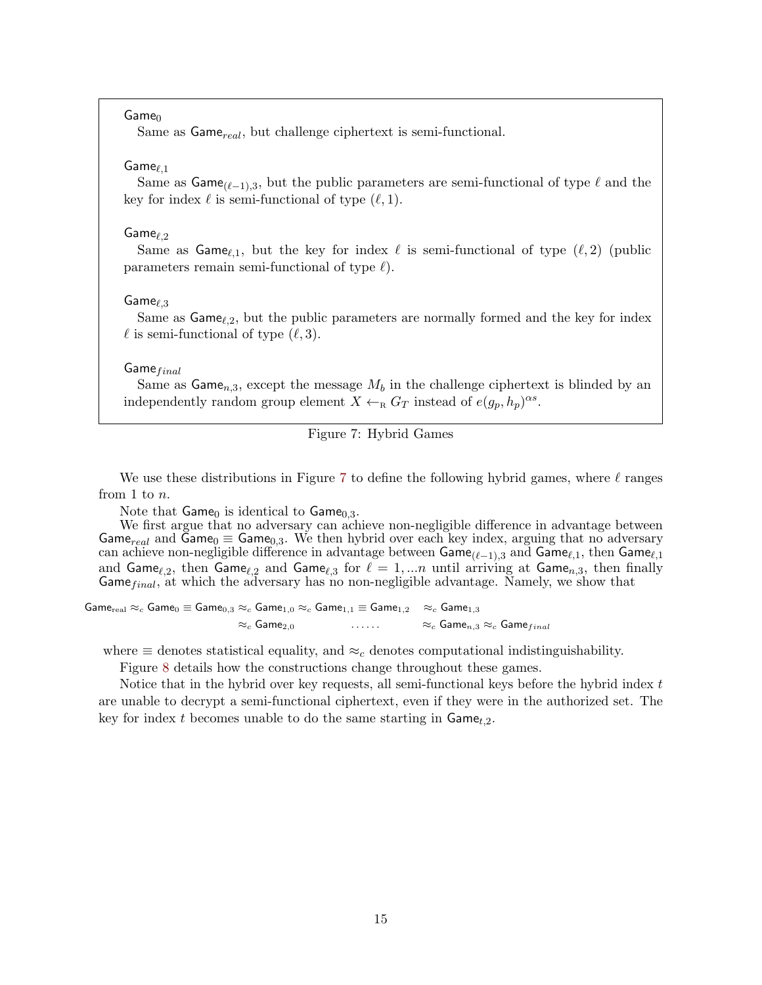### <span id="page-14-0"></span> $Game<sub>0</sub>$

Same as  $\mathsf{Game}_{real}$ , but challenge ciphertext is semi-functional.

#### $Game_{\ell,1}$

Same as  $\mathsf{Game}_{(\ell-1),3}$ , but the public parameters are semi-functional of type  $\ell$  and the key for index  $\ell$  is semi-functional of type  $(\ell, 1)$ .

#### Game $_{\ell,2}$

Same as Game<sub>l,1</sub>, but the key for index  $\ell$  is semi-functional of type  $(\ell, 2)$  (public parameters remain semi-functional of type  $\ell$ .

#### $Game_{\ell,3}$

Same as  $\mathsf{Game}_{\ell,2}$ , but the public parameters are normally formed and the key for index  $\ell$  is semi-functional of type  $(\ell, 3)$ .

## $\mathsf{Game}_{final}$

Same as  $\mathsf{Game}_{n,3}$ , except the message  $M_b$  in the challenge ciphertext is blinded by an independently random group element  $X \leftarrow_R G_T$  instead of  $e(g_p, h_p)^{\alpha s}$ .



We use these distributions in Figure [7](#page-14-0) to define the following hybrid games, where  $\ell$  ranges from 1 to n.

Note that  $Game_0$  is identical to  $Game_{0,3}$ .

We first argue that no adversary can achieve non-negligible difference in advantage between Game<sub>real</sub> and Game<sub>0</sub>  $\equiv$  Game<sub>0.3</sub>. We then hybrid over each key index, arguing that no adversary can achieve non-negligible difference in advantage between Game $_{(\ell-1),3}$  and Game $_{\ell,1}$ , then Game $_{\ell,1}$ and Game<sub>l,2</sub>, then Game<sub>l,2</sub> and Game<sub>l,3</sub> for  $\ell = 1, ...n$  until arriving at Game<sub>n,3</sub>, then finally Game $_{final}$ , at which the adversary has no non-negligible advantage. Namely, we show that

Game<sub>real</sub>  $\approx_c$  Game<sub>0</sub>  $\equiv$  Game<sub>0.3</sub>  $\approx_c$  Game<sub>1.0</sub>  $\approx_c$  Game<sub>1.1</sub>  $\equiv$  Game<sub>1.2</sub>  $\approx_c$  Game<sub>1.3</sub>  $\approx_c$  Game<sub>2,0</sub> ......  $\approx_c$  Game<sub>n,3</sub>  $\approx_c$  Game<sub>final</sub>

where  $\equiv$  denotes statistical equality, and  $\approx_c$  denotes computational indistinguishability.

Figure [8](#page-15-0) details how the constructions change throughout these games.

Notice that in the hybrid over key requests, all semi-functional keys before the hybrid index  $t$ are unable to decrypt a semi-functional ciphertext, even if they were in the authorized set. The key for index t becomes unable to do the same starting in  $\mathsf{Game}_{t,2}$ .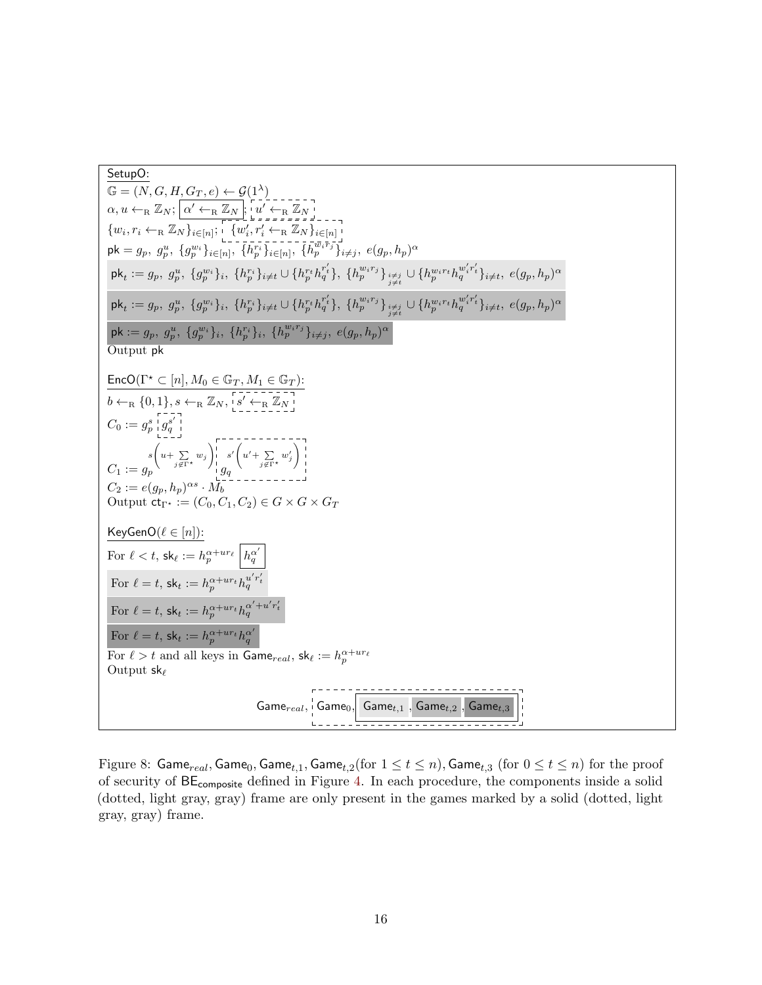<span id="page-15-0"></span>

Figure 8: Game<sub>real</sub>, Game<sub>0</sub>, Game<sub>t,1</sub>, Game<sub>t,2</sub>(for  $1 \le t \le n$ ), Game<sub>t,3</sub> (for  $0 \le t \le n$ ) for the proof of security of BEcomposite defined in Figure [4.](#page-12-2) In each procedure, the components inside a solid (dotted, light gray, gray) frame are only present in the games marked by a solid (dotted, light gray, gray) frame.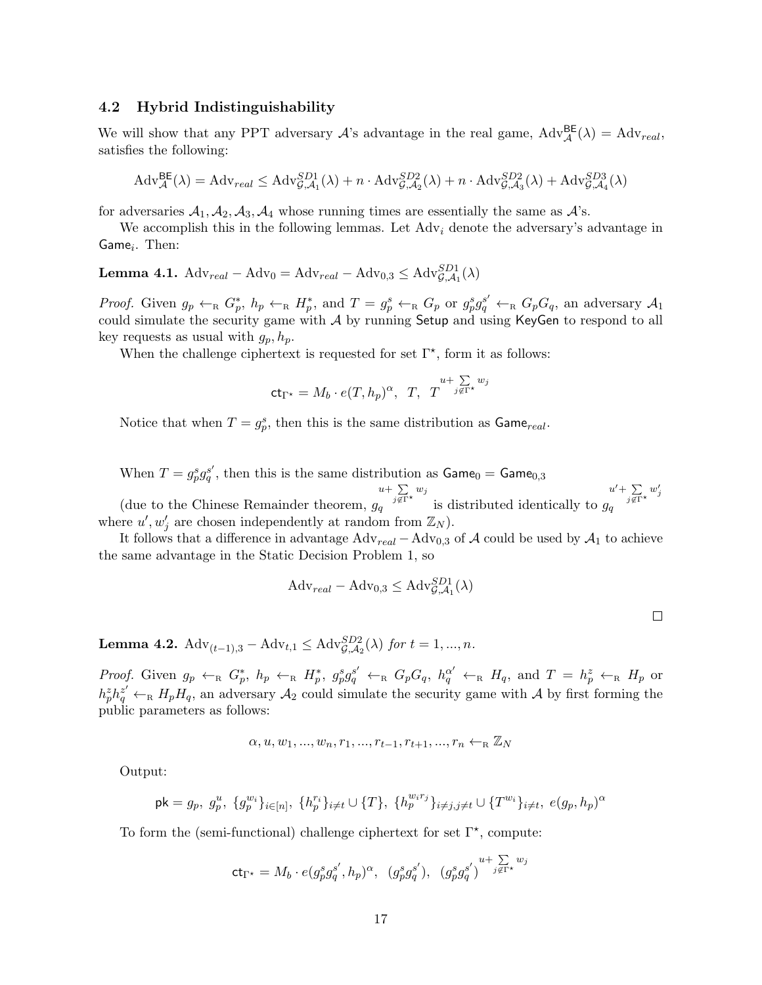#### 4.2 Hybrid Indistinguishability

We will show that any PPT adversary  $\mathcal{A}$ 's advantage in the real game,  $Adv_{\mathcal{A}}^{BE}(\lambda) = Adv_{real}$ , satisfies the following:

$$
Adv_{\mathcal{A}}^{BE}(\lambda) = Adv_{real} \le Adv_{\mathcal{G},\mathcal{A}_1}^{SD1}(\lambda) + n \cdot Adv_{\mathcal{G},\mathcal{A}_2}^{SD2}(\lambda) + n \cdot Adv_{\mathcal{G},\mathcal{A}_3}^{SD2}(\lambda) + Adv_{\mathcal{G},\mathcal{A}_4}^{SD3}(\lambda)
$$

for adversaries  $A_1, A_2, A_3, A_4$  whose running times are essentially the same as  $A$ 's.

We accomplish this in the following lemmas. Let  $\text{Adv}_i$  denote the adversary's advantage in  $\mathsf{Game}_i$ . Then:

**Lemma 4.1.**  $\mathrm{Adv}_{real} - \mathrm{Adv}_{0} = \mathrm{Adv}_{real} - \mathrm{Adv}_{0,3} \leq \mathrm{Adv}_{\mathcal{G},\mathcal{A}_1}^{SD1}(\lambda)$ 

*Proof.* Given  $g_p \leftarrow_R G_p^*$ ,  $h_p \leftarrow_R H_p^*$ , and  $T = g_p^s \leftarrow_R G_p$  or  $g_p^s g_q^{s'} \leftarrow_R G_p G_q$ , an adversary  $\mathcal{A}_1$ could simulate the security game with  $A$  by running Setup and using KeyGen to respond to all key requests as usual with  $g_p, h_p$ .

When the challenge ciphertext is requested for set  $\Gamma^*$ , form it as follows:

$$
\mathsf{ct}_{\Gamma^\star} = M_b \cdot e(T, h_p)^\alpha, \ \ T, \ \ T \overset{u + \sum\limits_{j \not\in \Gamma^\star} w_j}{\longrightarrow}
$$

Notice that when  $T = g_p^s$ , then this is the same distribution as  $\textsf{Game}_{real}$ .

When  $T = g_p^s g_q^{s'}$ , then this is the same distribution as  $\mathsf{Game}_0 = \mathsf{Game}_{0,3}$ 

(due to the Chinese Remainder theorem, g  $u + \sum_{j \notin \Gamma^*} w_j$  $q \rightarrow q$ <sup> $j \notin \Gamma$ </sup> is distributed identically to g  $u' + \sum_{j \notin \Gamma^*} w'_j$ q where  $u', w'_j$  are chosen independently at random from  $\mathbb{Z}_N$ ).

It follows that a difference in advantage  $Adv_{real} - Adv_{0,3}$  of A could be used by  $\mathcal{A}_1$  to achieve the same advantage in the Static Decision Problem 1, so

$$
Adv_{real} - Adv_{0,3} \le Adv_{\mathcal{G},\mathcal{A}_1}^{SD1}(\lambda)
$$

 $\Box$ 

**Lemma 4.2.**  $\text{Adv}_{(t-1),3} - \text{Adv}_{t,1} \leq \text{Adv}_{\mathcal{G},\mathcal{A}_2}^{SD2}(\lambda)$  for  $t = 1, ..., n$ .

Proof. Given  $g_p \leftarrow_R G_p^*$ ,  $h_p \leftarrow_R H_p^*$ ,  $g_p^s g_q^{s'} \leftarrow_R G_p G_q$ ,  $h_q^{a'} \leftarrow_R H_q$ , and  $T = h_p^z \leftarrow_R H_p$  or  $h_p^zh_q^{z'} \leftarrow_R H_pH_q$ , an adversary  $\mathcal{A}_2$  could simulate the security game with  $\mathcal{A}$  by first forming the public parameters as follows:

$$
\alpha, u, w_1, ..., w_n, r_1, ..., r_{t-1}, r_{t+1}, ..., r_n \leftarrow_R \mathbb{Z}_N
$$

Output:

$$
\mathsf{pk} = g_p, \ g_p^u, \ \{g_p^{w_i}\}_{i \in [n]}, \ \{h_p^{r_i}\}_{i \neq t} \cup \{T\}, \ \{h_p^{w_i r_j}\}_{i \neq j, j \neq t} \cup \{T^{w_i}\}_{i \neq t}, \ e(g_p, h_p)^{\alpha}
$$

To form the (semi-functional) challenge ciphertext for set  $\Gamma^*$ , compute:

$$
\mathsf{ct}_{\Gamma^\star} = M_b \cdot e(g_p^s g_q^{s'}, h_p)^\alpha, \quad (g_p^s g_q^{s'}), \quad (g_p^s g_q^{s'})^{u + \sum\limits_{j \notin \Gamma^\star} w_j}
$$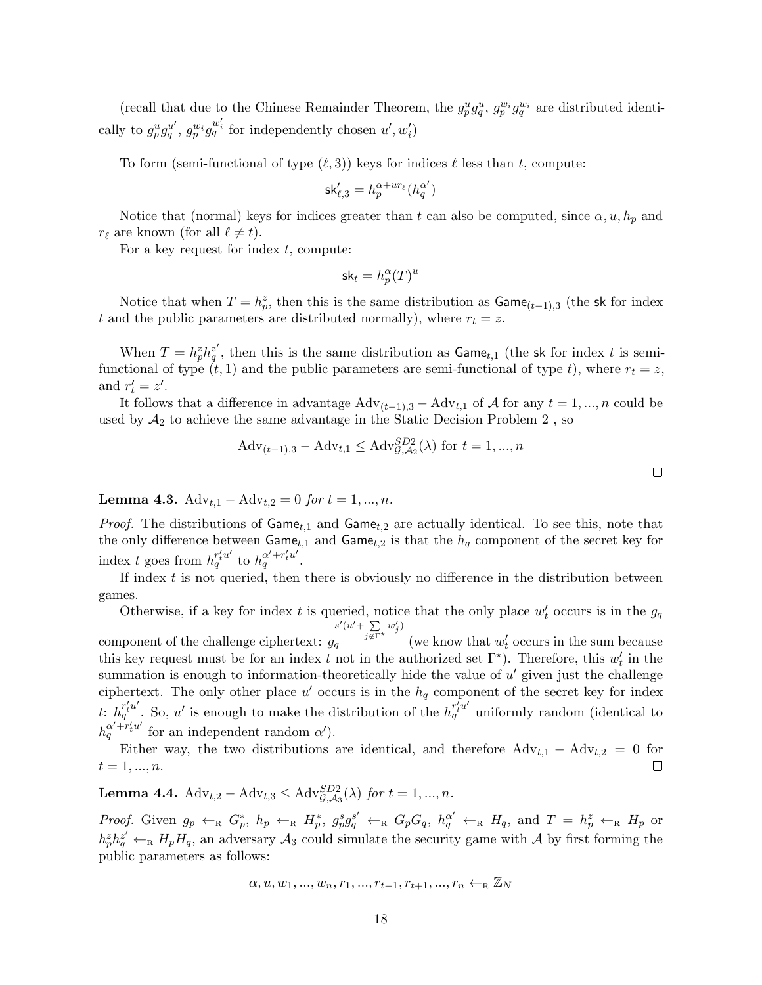(recall that due to the Chinese Remainder Theorem, the  $g_p^u g_q^u$ ,  $g_p^{w_i} g_q^{w_i}$  are distributed identically to  $g_p^u g_q^{u'}$ ,  $g_p^{w_i} g_q^{w'_i}$  for independently chosen  $u', w'_i$ )

To form (semi-functional of type  $(\ell, 3)$ ) keys for indices  $\ell$  less than t, compute:

$$
\mathsf{sk}'_{\ell,3} = h_p^{\alpha+ur_\ell}(h_q^{\alpha'})
$$

Notice that (normal) keys for indices greater than t can also be computed, since  $\alpha, u, h_p$  and  $r_{\ell}$  are known (for all  $\ell \neq t$ ).

For a key request for index  $t$ , compute:

$$
\mathsf{sk}_t = h_p^\alpha(T)^u
$$

Notice that when  $T = h_p^z$ , then this is the same distribution as  $\textsf{Game}_{(t-1),3}$  (the sk for index t and the public parameters are distributed normally), where  $r_t = z$ .

When  $T = h_p^z h_q^{z'}$ , then this is the same distribution as  $\textsf{Game}_{t,1}$  (the sk for index t is semifunctional of type  $(t, 1)$  and the public parameters are semi-functional of type t), where  $r_t = z$ , and  $r'_t = z'.$ 

It follows that a difference in advantage  $\text{Adv}_{(t-1),3} - \text{Adv}_{t,1}$  of A for any  $t = 1, ..., n$  could be used by  $A_2$  to achieve the same advantage in the Static Decision Problem 2, so

$$
Adv_{(t-1),3} - Adv_{t,1} \le Adv_{\mathcal{G},\mathcal{A}_2}^{SD2}(\lambda) \text{ for } t = 1, ..., n
$$

Lemma 4.3.  $\text{Adv}_{t,1} - \text{Adv}_{t,2} = 0$  for  $t = 1, ..., n$ .

*Proof.* The distributions of  $Game_{t,1}$  and  $Game_{t,2}$  are actually identical. To see this, note that the only difference between  $\mathsf{Game}_{t,1}$  and  $\mathsf{Game}_{t,2}$  is that the  $h_q$  component of the secret key for index t goes from  $h_q^{r'_t u'}$  to  $h_q^{\alpha'+r'_t u'}$ .

If index  $t$  is not queried, then there is obviously no difference in the distribution between games.

Otherwise, if a key for index t is queried, notice that the only place  $w'_t$  occurs is in the  $g_q$  $s'(u'+\sum_{j \notin \Gamma^*} w'_j)$ 

component of the challenge ciphertext: g  $\mathbb{R}_q$  (we know that  $w'_t$  occurs in the sum because this key request must be for an index t not in the authorized set  $\Gamma^*$ ). Therefore, this  $w'_t$  in the summation is enough to information-theoretically hide the value of  $u'$  given just the challenge ciphertext. The only other place  $u'$  occurs is in the  $h_q$  component of the secret key for index t:  $h_q^{r'_t u'}$ . So, u' is enough to make the distribution of the  $h_q^{r'_t u'}$  uniformly random (identical to  $h_q^{\alpha'+r'_t u'}$  for an independent random  $\alpha'$ ).

Either way, the two distributions are identical, and therefore  $Adv_{t,1} - Adv_{t,2} = 0$  for  $t = 1, ..., n$ .  $\Box$ 

**Lemma 4.4.**  $\mathrm{Adv}_{t,2} - \mathrm{Adv}_{t,3} \leq \mathrm{Adv}_{\mathcal{G},\mathcal{A}_3}^{SD2}(\lambda)$  for  $t = 1, ..., n$ .

Proof. Given  $g_p \leftarrow_R G_p^*$ ,  $h_p \leftarrow_R H_p^*$ ,  $g_p^s g_q^{s'} \leftarrow_R G_p G_q$ ,  $h_q^{a'} \leftarrow_R H_q$ , and  $T = h_p^z \leftarrow_R H_p$  or  $h_p^zh_q^{z'} \leftarrow_R H_pH_q$ , an adversary  $\mathcal{A}_3$  could simulate the security game with  $\mathcal{A}$  by first forming the public parameters as follows:

$$
\alpha, u, w_1, ..., w_n, r_1, ..., r_{t-1}, r_{t+1}, ..., r_n \leftarrow_R \mathbb{Z}_N
$$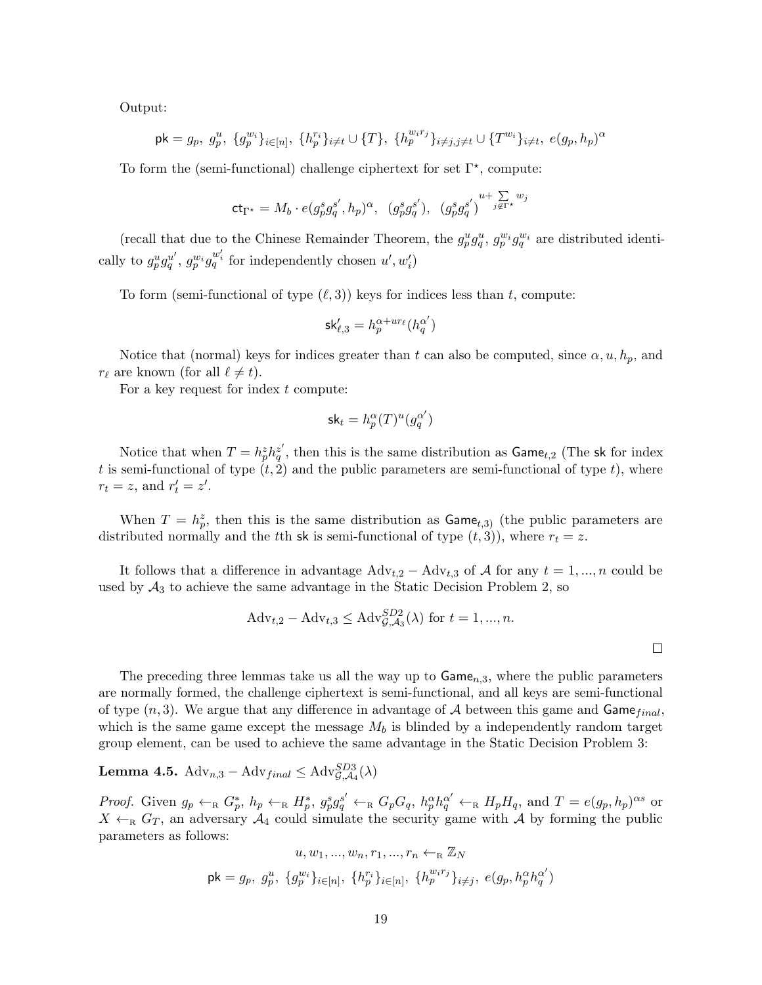Output:

$$
\mathsf{pk} = g_p, \ g_p^u, \ \{g_p^{w_i}\}_{i \in [n]}, \ \{h_p^{r_i}\}_{i \neq t} \cup \{T\}, \ \{h_p^{w_i r_j}\}_{i \neq j, j \neq t} \cup \{T^{w_i}\}_{i \neq t}, \ e(g_p, h_p)^{\alpha}
$$

To form the (semi-functional) challenge ciphertext for set  $\Gamma^*$ , compute:

$$
\mathsf{ct}_{\Gamma^\star} = M_b \cdot e(g_p^s g_q^{s'}, h_p)^\alpha, \quad (g_p^s g_q^{s'}), \quad (g_p^s g_q^{s'})^{u + \sum\limits_{j \not\in \Gamma^\star} w_j}
$$

(recall that due to the Chinese Remainder Theorem, the  $g_p^u g_q^u$ ,  $g_p^{w_i} g_q^{w_i}$  are distributed identically to  $g_p^u g_q^{u'}$ ,  $g_p^{w_i} g_q^{w'_i}$  for independently chosen  $u', w'_i$ )

To form (semi-functional of type  $(\ell, 3)$ ) keys for indices less than t, compute:

$$
\mathsf{sk}'_{\ell,3} = h_p^{\alpha + ur_\ell}(h_q^{\alpha'})
$$

Notice that (normal) keys for indices greater than t can also be computed, since  $\alpha, u, h_p$ , and  $r_{\ell}$  are known (for all  $\ell \neq t$ ).

For a key request for index  $t$  compute:

$$
\mathsf{sk}_t = h_p^\alpha(T)^u(g_q^{\alpha'})
$$

Notice that when  $T = h_p^z h_q^{z'}$ , then this is the same distribution as  $\mathsf{Game}_{t,2}$  (The sk for index t is semi-functional of type  $(t, 2)$  and the public parameters are semi-functional of type t), where  $r_t = z$ , and  $r'_t = z'$ .

When  $T = h_p^z$ , then this is the same distribution as  $\mathsf{Game}_{t,3}$  (the public parameters are distributed normally and the tth sk is semi-functional of type  $(t, 3)$ , where  $r_t = z$ .

It follows that a difference in advantage  $Adv_{t,2} - Adv_{t,3}$  of A for any  $t = 1, ..., n$  could be used by  $A_3$  to achieve the same advantage in the Static Decision Problem 2, so

$$
Adv_{t,2} - Adv_{t,3} \le Adv_{\mathcal{G},\mathcal{A}_3}^{SD2}(\lambda) \text{ for } t = 1, ..., n.
$$

The preceding three lemmas take us all the way up to  $\mathsf{Game}_{n,3}$ , where the public parameters are normally formed, the challenge ciphertext is semi-functional, and all keys are semi-functional of type  $(n, 3)$ . We argue that any difference in advantage of A between this game and Game $_{final}$ , which is the same game except the message  $M_b$  is blinded by a independently random target group element, can be used to achieve the same advantage in the Static Decision Problem 3:

# **Lemma 4.5.**  $\mathrm{Adv}_{n,3} - \mathrm{Adv}_{final} \leq \mathrm{Adv}_{\mathcal{G},\mathcal{A}_4}^{SD3}(\lambda)$

Proof. Given  $g_p \leftarrow_R G_p^*$ ,  $h_p \leftarrow_R H_p^*$ ,  $g_p^s g_q^{s'} \leftarrow_R G_p G_q$ ,  $h_p^{\alpha} h_q^{\alpha'} \leftarrow_R H_p H_q$ , and  $T = e(g_p, h_p)^{\alpha s}$  or  $X \leftarrow_R G_T$ , an adversary  $A_4$  could simulate the security game with A by forming the public parameters as follows:

$$
\begin{aligned} u,w_1,...,w_n,r_1,...,r_n &\leftarrow_{\mathbf{R}} \mathbb{Z}_N \\ \mathsf{pk} = g_p,~g_p^u,~\{g_p^{w_i}\}_{i \in [n]},~\{h_p^{r_i}\}_{i \in [n]},~\{h_p^{w_ir_j}\}_{i \neq j},~e(g_p,h_p^{\alpha}h_q^{\alpha'}) \end{aligned}
$$

 $\Box$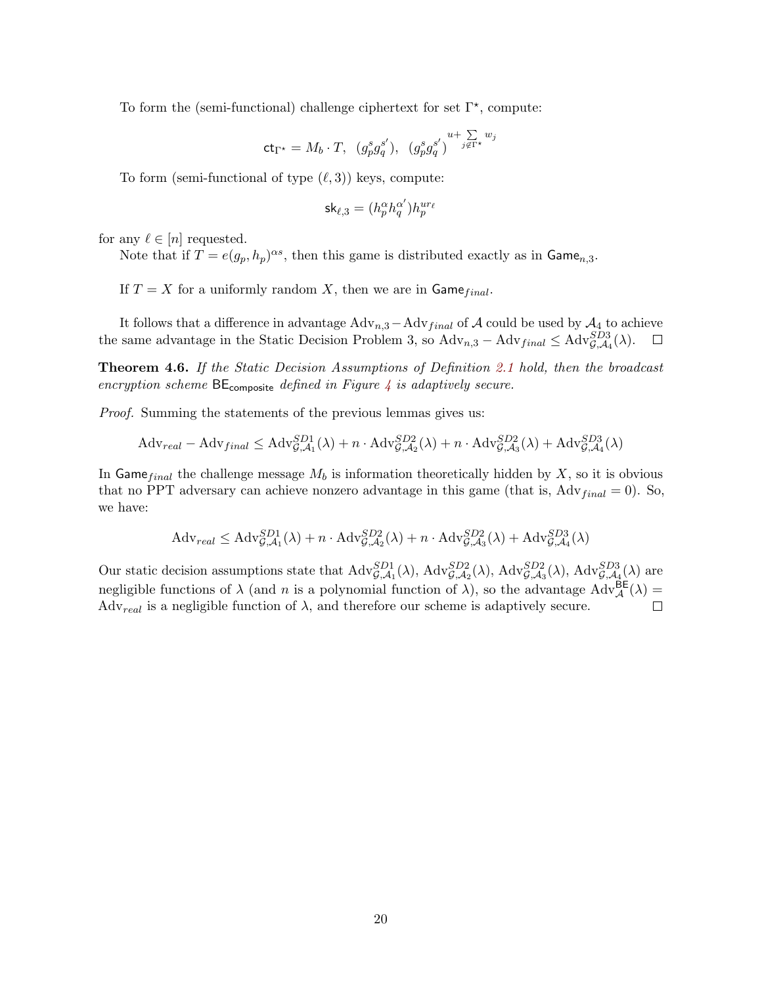To form the (semi-functional) challenge ciphertext for set  $\Gamma^*$ , compute:

$$
\mathsf{ct}_{\Gamma^\star} = M_b \cdot T, \ \ (g_p^s g_q^{s'}), \ \ (g_p^s g_q^{s'} \big)^{u + \sum\limits_{j \notin \Gamma^\star} w_j}
$$

To form (semi-functional of type  $(\ell, 3)$ ) keys, compute:

$$
\mathsf{sk}_{\ell,3} = (h^\alpha_p h^{\alpha'}_q)h^{ur_\ell}_p
$$

for any  $\ell \in [n]$  requested.

Note that if  $T = e(g_p, h_p)^{\alpha s}$ , then this game is distributed exactly as in Game<sub>n,3</sub>.

If  $T = X$  for a uniformly random X, then we are in Game  $f_{inal}$ .

It follows that a difference in advantage  $Adv_{n,3} - Adv_{final}$  of A could be used by  $\mathcal{A}_4$  to achieve the same advantage in the Static Decision Problem 3, so  $\text{Adv}_{n,3} - \text{Adv}_{final} \leq \text{Adv}_{\mathcal{G},\mathcal{A}_4}^{SD3}(\lambda)$ .  $\Box$ 

Theorem 4.6. If the Static Decision Assumptions of Definition [2.1](#page-8-0) hold, then the broadcast encryption scheme  $BE_{\text{composite}}$  defined in Figure [4](#page-12-2) is adaptively secure.

Proof. Summing the statements of the previous lemmas gives us:

$$
Adv_{real} - Adv_{final} \le Adv_{g,A_1}^{SD1}(\lambda) + n \cdot Adv_{g,A_2}^{SD2}(\lambda) + n \cdot Adv_{g,A_3}^{SD2}(\lambda) + Adv_{g,A_4}^{SD3}(\lambda)
$$

In Game $_{final}$  the challenge message  $M_b$  is information theoretically hidden by X, so it is obvious that no PPT adversary can achieve nonzero advantage in this game (that is,  $\text{Adv}_{final} = 0$ ). So, we have:

$$
\mathrm{Adv}_{real} \le \mathrm{Adv}_{\mathcal{G},\mathcal{A}_1}^{SD1}(\lambda) + n \cdot \mathrm{Adv}_{\mathcal{G},\mathcal{A}_2}^{SD2}(\lambda) + n \cdot \mathrm{Adv}_{\mathcal{G},\mathcal{A}_3}^{SD2}(\lambda) + \mathrm{Adv}_{\mathcal{G},\mathcal{A}_4}^{SD3}(\lambda)
$$

Our static decision assumptions state that  $\text{Adv}_{\mathcal{G},\mathcal{A}_1}^{SD1}(\lambda)$ ,  $\text{Adv}_{\mathcal{G},\mathcal{A}_2}^{SD2}(\lambda)$ ,  $\text{Adv}_{\mathcal{G},\mathcal{A}_3}^{SD2}(\lambda)$ ,  $\text{Adv}_{\mathcal{G},\mathcal{A}_4}^{SD3}(\lambda)$  are negligible functions of  $\lambda$  (and n is a polynomial function of  $\lambda$ ), so the advantage  $\text{Adv}_{\mathcal{A}}^{\text{BE}}(\lambda)$  = Adv<sub>real</sub> is a negligible function of  $\lambda$ , and therefore our scheme is adaptively secure.  $\Box$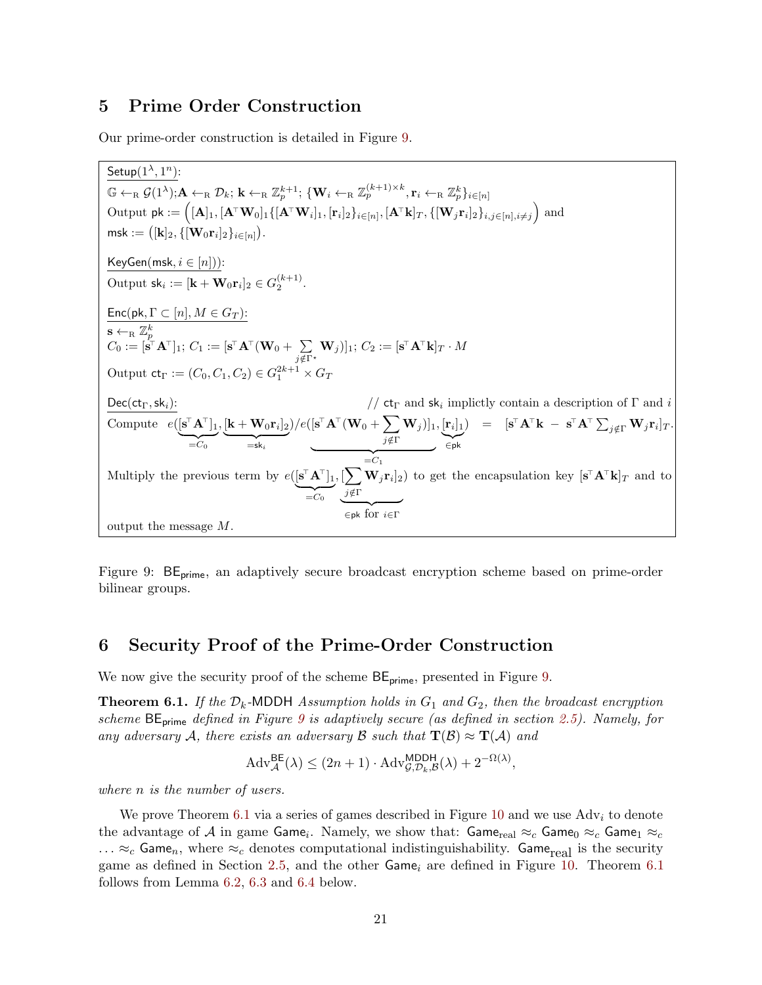## <span id="page-20-0"></span>5 Prime Order Construction

Our prime-order construction is detailed in Figure [9.](#page-20-1)

<span id="page-20-1"></span>Setup $(1^{\lambda}, 1^n)$ :  $\mathbb{G} \leftarrow_\mathrm{R} \mathcal{G}(1^\lambda); \mathbf{A} \leftarrow_\mathrm{R} \mathcal{D}_k; \ \mathbf{k} \leftarrow_\mathrm{R} \mathbb{Z}_p^{k+1}; \ \{ \mathbf{W}_i \leftarrow_\mathrm{R} \mathbb{Z}_p^{(k+1) \times k}, \mathbf{r}_i \leftarrow_\mathrm{R} \mathbb{Z}_p^{k} \}_{i \in [n]}$ Output  $\mathsf{pk} := \left( [\mathbf{A}]_1, [\mathbf{A}^{\top} \mathbf{W}_0]_1 \{ [\mathbf{A}^{\top} \mathbf{W}_i]_1, [\mathbf{r}_i]_2 \}_{i \in [n]}, [\mathbf{A}^{\top} \mathbf{k}]_T, \{ [\mathbf{W}_j \mathbf{r}_i]_2 \}_{i,j \in [n], i \neq j} \right)$  and  $\mathsf{msk} := \big([\mathbf{k}]_2, \{[\mathbf{W}_0\mathbf{r}_i]_2\}_{i\in[n]}\big).$ KeyGen(msk,  $i \in [n]$ )): Output  $\mathsf{sk}_i := [\mathbf{k} + \mathbf{W}_0 \mathbf{r}_i]_2 \in G_2^{(k+1)}$ .  $\mathsf{Enc}(\mathsf{pk}, \Gamma \subset [n], M \in G_T)$ :  $\begin{array}{l} \mathbf{s} \leftarrow_{\textsc{r}} \mathbb{Z}_p^k \ C_0 := [\mathbf{s}^\textsf{T} \mathbf{A}^\textsf{T}]_1; \, C_1 := [\mathbf{s}^\textsf{T} \mathbf{A}^\textsf{T} (\mathbf{W}_0 + \; \sum) \end{array}$  $[\sum\limits_{j \notin \Gamma^{\star}} \mathbf{W}_{j})]_{1}; \, C_{2}:=[\mathbf{s}^{\!\top} \mathbf{A}^{\!\top} \mathbf{k}]_{T} \cdot M$ Output  $ct_{\Gamma} := (C_0, C_1, C_2) \in G_1^{2k+1} \times G_T$ Dec(ctΓ,ski): // ct<sup>Γ</sup> and sk<sup>i</sup> implictly contain a description of Γ and i Compute  $e([{\bf s}^{\top}{\bf A}^{\top}]_1)$  $\overline{=}C_0$  $,[\mathbf{k}+\mathbf{W}_0\mathbf{r}_i]_2$  $=$ sk<sub>i</sub>  $)/e([{\bf s}^{{\!\top}} {\bf A}^{{\!\top}}({\bf W}_{0} + \sum)]$  $j$ ∉Γ  $(\mathbf{W}_j)]_1$  $=C_1$  $,[{\bf r}_i]_1$ |{z} ∈pk  $)\quad =\quad [\mathbf{s}^\top \mathbf{A}^\top \mathbf{k} \;-\; \mathbf{s}^\top \mathbf{A}^\top \sum\nolimits_{j\notin \Gamma} \mathbf{W}_j \mathbf{r}_i ]_T.$ Multiply the previous term by  $e([\mathbf{s}^T \mathbf{A}^T]_1)$  $\overline{z}$  =  $C_0$  $,\lvert\sum$  $j \notin \Gamma$  $\mathbf{W}_j \mathbf{r}_i]_2$  $\overline{\epsilon}$ pk for  $i \in \Gamma$ ) to get the encapsulation key  $[\mathbf{s}^\top \mathbf{A}^\top \mathbf{k}]_T$  and to output the message M.

Figure 9: BE<sub>prime</sub>, an adaptively secure broadcast encryption scheme based on prime-order bilinear groups.

# 6 Security Proof of the Prime-Order Construction

We now give the security proof of the scheme  $BE_{\text{prime}}$ , presented in Figure [9.](#page-20-1)

<span id="page-20-2"></span>**Theorem 6.1.** If the  $\mathcal{D}_k$ -MDDH Assumption holds in  $G_1$  and  $G_2$ , then the broadcast encryption scheme  $BE_{\text{prime}}$  defined in Figure [9](#page-20-1) is adaptively secure (as defined in section [2.5\)](#page-10-0). Namely, for any adversary A, there exists an adversary B such that  $\mathbf{T}(\mathcal{B}) \approx \mathbf{T}(\mathcal{A})$  and

$$
\mathrm{Adv}_{\mathcal{A}}^{\mathsf{BE}}(\lambda) \le (2n+1) \cdot \mathrm{Adv}_{\mathcal{G},\mathcal{D}_k,\mathcal{B}}^{\mathsf{MDDH}}(\lambda) + 2^{-\Omega(\lambda)},
$$

where n is the number of users.

<span id="page-20-3"></span>We prove Theorem [6.1](#page-20-2) via a series of games described in Figure [10](#page-21-0) and we use  $\text{Adv}_i$  to denote the advantage of  ${\cal A}$  in game <code>Game</code><sub>i</sub>. Namely, we show that: <code>Game</code><sub>real</sub>  $\approx_c$  <code>Game</code><sub>0</sub>  $\approx_c$  <code>Game</code><sub>1</sub>  $\approx_c$  $\ldots \approx_c$  Game<sub>n</sub>, where  $\approx_c$  denotes computational indistinguishability. Game<sub>real</sub> is the security game as defined in Section [2.5,](#page-10-0) and the other Game<sub>i</sub> are defined in Figure [10.](#page-21-0) Theorem [6.1](#page-20-2) follows from Lemma [6.2,](#page-20-3) [6.3](#page-21-1) and [6.4](#page-23-0) below.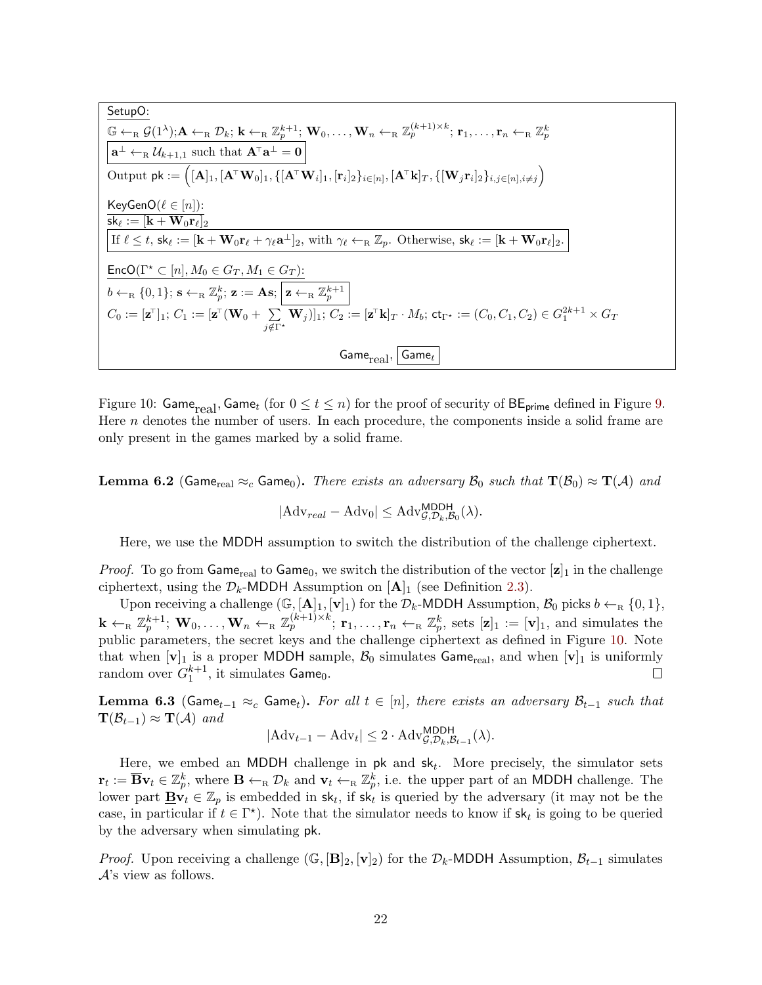<span id="page-21-0"></span>
$$
\frac{\text{SetupO:}}{\mathbb{G} \leftarrow_R \mathcal{G}(1^{\lambda}); \mathbf{A} \leftarrow_R \mathcal{D}_k; \mathbf{k} \leftarrow_R \mathbb{Z}_p^{k+1}; \mathbf{W}_0, \ldots, \mathbf{W}_n \leftarrow_R \mathbb{Z}_p^{(k+1) \times k}; \mathbf{r}_1, \ldots, \mathbf{r}_n \leftarrow_R \mathbb{Z}_p^k
$$
\n
$$
\boxed{\mathbf{a}^\perp \leftarrow_R \mathcal{U}_{k+1,1} \text{ such that } \mathbf{A}^\top \mathbf{a}^\perp = \mathbf{0}}
$$
\n
$$
\text{Output } \mathbf{pk} := \left( [\mathbf{A}]_1, [\mathbf{A}^\top \mathbf{W}_0]_1, \{ [\mathbf{A}^\top \mathbf{W}_i]_1, [\mathbf{r}_i]_2 \}_{i \in [n]}, [\mathbf{A}^\top \mathbf{k}]_T, \{ [\mathbf{W}_j \mathbf{r}_i]_2 \}_{i,j \in [n], i \neq j} \right)
$$
\n
$$
\frac{\text{KeyGenO}(\ell \in [n])}{\text{Sk}_{\ell} := [\mathbf{k} + \mathbf{W}_0 \mathbf{r}_{\ell}]_2}
$$
\n
$$
\boxed{\text{If } \ell \leq t, \mathbf{sk}_{\ell} := [\mathbf{k} + \mathbf{W}_0 \mathbf{r}_{\ell} + \gamma_{\ell} \mathbf{a}^\perp]_2, \text{ with } \gamma_{\ell} \leftarrow_R \mathbb{Z}_p. \text{ Otherwise, } \mathbf{sk}_{\ell} := [\mathbf{k} + \mathbf{W}_0 \mathbf{r}_{\ell}]_2.
$$
\n
$$
\frac{\text{EncO}(\Gamma^\star \subset [n], M_0 \in G_T, M_1 \in G_T):}{b \leftarrow_R \{0, 1\}; \mathbf{s} \leftarrow_R \mathbb{Z}_p^k; \mathbf{z} := \mathbf{As}; \boxed{\mathbf{z} \leftarrow_R \mathbb{Z}_p^{k+1}}
$$
\n
$$
C_0 := [\mathbf{z}^\top]_1; C_1 := [\mathbf{z}^\top (\mathbf{W}_0 + \sum_{j \notin \Gamma^\star} \mathbf{W}_j)]_1; C_2 := [\mathbf{z}^\top \mathbf{k}]_T \cdot M_b; \mathbf{ct}_{\Gamma^\star}
$$

Figure 10: Game<sub>real</sub>, Game<sub>t</sub> (for  $0 \le t \le n$ ) for the proof of security of BE<sub>prime</sub> defined in Figure [9.](#page-20-1) Here *n* denotes the number of users. In each procedure, the components inside a solid frame are only present in the games marked by a solid frame.

**Lemma 6.2** (Game<sub>real</sub>  $\approx_c$  Game<sub>0</sub>). There exists an adversary  $\mathcal{B}_0$  such that  $\mathbf{T}(\mathcal{B}_0) \approx \mathbf{T}(\mathcal{A})$  and

$$
|\mathrm{Adv}_{real} - \mathrm{Adv}_{0}| \leq \mathrm{Adv}_{\mathcal{G},\mathcal{D}_{k},\mathcal{B}_{0}}^{\mathsf{MDDH}}(\lambda).
$$

Here, we use the MDDH assumption to switch the distribution of the challenge ciphertext.

*Proof.* To go from Game<sub>real</sub> to Game<sub>0</sub>, we switch the distribution of the vector  $[\mathbf{z}]_1$  in the challenge ciphertext, using the  $\mathcal{D}_k$ -MDDH Assumption on  $[\mathbf{A}]_1$  (see Definition [2.3\)](#page-9-1).

Upon receiving a challenge  $(\mathbb{G}, [\mathbf{A}]_1, [\mathbf{v}]_1)$  for the  $\mathcal{D}_k$ -MDDH Assumption,  $\mathcal{B}_0$  picks  $b \leftarrow_R \{0, 1\}$ ,  $\mathbf{k} \leftarrow_R \mathbb{Z}_p^{k+1}; \ \mathbf{W}_0, \ldots, \mathbf{W}_n \leftarrow_R \mathbb{Z}_p^{(k+1)\times k}; \ \mathbf{r}_1, \ldots, \mathbf{r}_n \leftarrow_R \mathbb{Z}_p^k$ , sets  $[\mathbf{z}]_1 := [\mathbf{v}]_1$ , and simulates the public parameters, the secret keys and the challenge ciphertext as defined in Figure [10.](#page-21-0) Note that when  $[v]_1$  is a proper MDDH sample,  $\mathcal{B}_0$  simulates Game<sub>real</sub>, and when  $[v]_1$  is uniformly random over  $G_1^{k+1}$ , it simulates Game<sub>0</sub>.

<span id="page-21-1"></span>**Lemma 6.3** (Game<sub>t-1</sub>  $\approx_c$  Game<sub>t</sub>). For all  $t \in [n]$ , there exists an adversary  $\mathcal{B}_{t-1}$  such that  $\mathbf{T}(\mathcal{B}_{t-1}) \approx \mathbf{T}(\mathcal{A})$  and

$$
|\mathrm{Adv}_{t-1} - \mathrm{Adv}_{t}| \leq 2 \cdot \mathrm{Adv}_{\mathcal{G}, \mathcal{D}_k, \mathcal{B}_{t-1}}^{\mathsf{MDDH}}(\lambda).
$$

Here, we embed an MDDH challenge in  $pk$  and  $sk_t$ . More precisely, the simulator sets  $\mathbf{r}_t := \overline{\mathbf{B}} \mathbf{v}_t \in \mathbb{Z}_p^k$ , where  $\mathbf{B} \leftarrow_R \mathcal{D}_k$  and  $\mathbf{v}_t \leftarrow_R \mathbb{Z}_p^k$ , i.e. the upper part of an MDDH challenge. The lower part  $\mathbf{B} \mathbf{v}_t \in \mathbb{Z}_p$  is embedded in  $\mathsf{sk}_t$ , if  $\mathsf{sk}_t$  is queried by the adversary (it may not be the case, in particular if  $t \in \Gamma^*$ ). Note that the simulator needs to know if  $sk_t$  is going to be queried by the adversary when simulating pk.

*Proof.* Upon receiving a challenge  $(\mathbb{G}, [\mathbf{B}]_2, [\mathbf{v}]_2)$  for the  $\mathcal{D}_k$ -MDDH Assumption,  $\mathcal{B}_{t-1}$  simulates  $\mathcal{A}$ 's view as follows.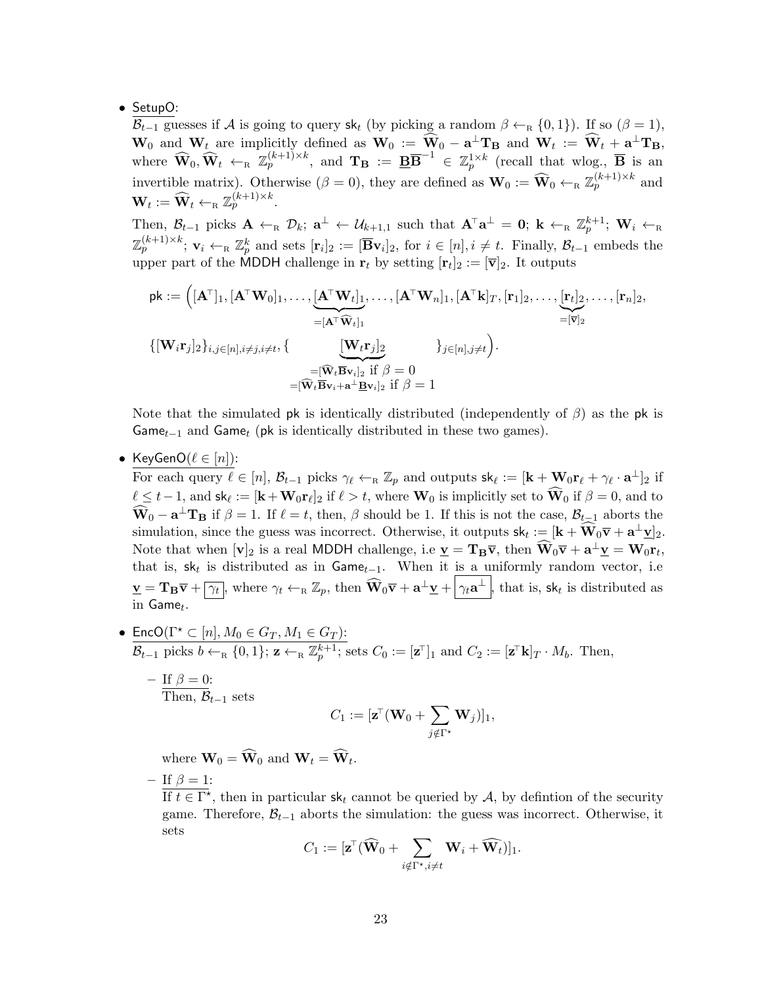## • SetupO:

 $\overline{\mathcal{B}_{t-1}}$  guesses if A is going to query sk<sub>t</sub> (by picking a random  $\beta \leftarrow_R \{0,1\}$ ). If so  $(\beta = 1)$ ,  $\mathbf{W}_0$  and  $\mathbf{W}_t$  are implicitly defined as  $\mathbf{W}_0 := \widetilde{\mathbf{W}}_0 - \mathbf{a}^\perp \mathbf{T_B}$  and  $\mathbf{W}_t := \widetilde{\mathbf{W}}_t + \mathbf{a}^\perp \mathbf{T_B}$ , where  $\widehat{\mathbf{W}}_0$ ,  $\widehat{\mathbf{W}}_t \leftarrow_R \mathbb{Z}_p^{(k+1)\times k}$ , and  $\mathbf{T_B} := \mathbf{B} \overline{\mathbf{B}}^{-1} \in \mathbb{Z}_p^{1\times k}$  (recall that wlog.,  $\overline{\mathbf{B}}$  is an invertible matrix). Otherwise  $(\beta = 0)$ , they are defined as  $\mathbf{W}_0 := \widehat{\mathbf{W}}_0 \leftarrow_R \mathbb{Z}_p^{(k+1)\times k}$  and  $\mathbf{W}_t := \widehat{\mathbf{W}}_t \leftarrow_R \mathbb{Z}_p^{(k+1)\times k}.$ 

Then,  $\mathcal{B}_{t-1}$  picks  $\mathbf{A} \leftarrow_R \mathcal{D}_k$ ;  $\mathbf{a}^{\perp} \leftarrow \mathcal{U}_{k+1,1}$  such that  $\mathbf{A}^{\top} \mathbf{a}^{\perp} = \mathbf{0}$ ;  $\mathbf{k} \leftarrow_R \mathbb{Z}_p^{k+1}$ ;  $\mathbf{W}_i \leftarrow_R$  $\mathbb{Z}_p^{(k+1)\times k};\, \mathbf{v}_i \leftarrow_R \mathbb{Z}_p^k$  and sets  $[\mathbf{r}_i]_2 := [\mathbf{\overline{B}} \mathbf{v}_i]_2$ , for  $i \in [n], i \neq t$ . Finally,  $\mathcal{B}_{t-1}$  embeds the upper part of the MDDH challenge in  $\mathbf{r}_t$  by setting  $[\mathbf{r}_t]_2 := [\mathbf{\overline{v}}]_2$ . It outputs

$$
\mathsf{pk} := \left( [\mathbf{A}^\top]_1, [\mathbf{A}^\top \mathbf{W}_0]_1, \dots, [\mathbf{A}^\top \mathbf{W}_t]_1, \dots, [\mathbf{A}^\top \mathbf{W}_n]_1, [\mathbf{A}^\top \mathbf{k}]_T, [\mathbf{r}_1]_2, \dots, [\mathbf{r}_t]_2, \dots, [\mathbf{r}_n]_2, = [\mathbf{\bar{w}}_1 \widehat{\mathbf{w}}_t]_1
$$
\n
$$
\{ [\mathbf{W}_i \mathbf{r}_j]_2 \}_{i,j \in [n], i \neq j, i \neq t}, \{ \underbrace{ [\mathbf{W}_t \mathbf{r}_j]_2}_{= [\mathbf{\bar{w}}_t \mathbf{B} \mathbf{v}_i]_2} \mathbf{i} \mathbf{f} \boldsymbol{\beta} = 0 \right. = [\mathbf{\widehat{w}}_t \mathbf{B} \mathbf{v}_i + \mathbf{a}^\perp \mathbf{B} \mathbf{v}_i]_2 \mathbf{i} \mathbf{f} \boldsymbol{\beta} = 1
$$

Note that the simulated pk is identically distributed (independently of  $\beta$ ) as the pk is Game<sub>t−1</sub> and Game<sub>t</sub> (pk is identically distributed in these two games).

• KeyGen $O(\ell \in [n])$ :

For each query  $\ell \in [n], \mathcal{B}_{t-1}$  picks  $\gamma_{\ell} \leftarrow_R \mathbb{Z}_p$  and outputs  $\mathsf{sk}_{\ell} := [\mathbf{k} + \mathbf{W}_0 \mathbf{r}_{\ell} + \gamma_{\ell} \cdot \mathbf{a}^{\perp}]_2$  if  $\ell \leq t-1$ , and  $\mathsf{sk}_{\ell} := [\mathbf{k} + \mathbf{W}_0 \mathbf{r}_{\ell}]_2$  if  $\ell > t$ , where  $\mathbf{W}_0$  is implicitly set to  $\mathbf{W}_0$  if  $\beta = 0$ , and to  $\hat{\mathbf{W}}_0$  –  $\mathbf{a}^{\perp}$ **T<sub>B</sub>** if  $\beta = 1$ . If  $\ell = t$ , then,  $\beta$  should be 1. If this is not the case,  $\beta_{t-1}$  aborts the simulation, since the guess was incorrect. Otherwise, it outputs  $sk_t := [k + \widehat{W}_0 \overline{v} + a^{\perp} \underline{v}]_2$ . Note that when  $[\mathbf{v}]_2$  is a real MDDH challenge, i.e  $\underline{\mathbf{v}} = \mathbf{T}_B \overline{\mathbf{v}}$ , then  $\widehat{\mathbf{W}}_0 \overline{\mathbf{v}} + \mathbf{a}^\perp \underline{\mathbf{v}} = \mathbf{W}_0 \mathbf{r}_t$ , that is,  $sk_t$  is distributed as in  $Game_{t-1}$ . When it is a uniformly random vector, i.e  $\underline{\mathbf{v}} = \mathbf{T}_B \overline{\mathbf{v}} + [\underline{\gamma_t}],$  where  $\gamma_t \leftarrow_R \mathbb{Z}_p$ , then  $\widehat{\mathbf{W}}_0 \overline{\mathbf{v}} + \mathbf{a}^\perp \underline{\mathbf{v}} + [\underline{\gamma_t \mathbf{a}^\perp}],$  that is,  $\mathbf{s} \mathbf{k}_t$  is distributed as  $\text{in}$  Game $_t$ .

- EncO( $\Gamma^* \subset [n], M_0 \in G_T, M_1 \in G_T$ ):  $\mathcal{B}_{t-1}$  picks  $b \leftarrow_R \{0,1\}; \mathbf{z} \leftarrow_R \mathbb{Z}_p^{k+1};$  sets  $C_0 := [\mathbf{z}^\top]_1$  and  $C_2 := [\mathbf{z}^\top \mathbf{k}]_T \cdot M_b$ . Then,
	- $-$  If  $\beta = 0$ : Then,  $\mathcal{B}_{t-1}$  sets

$$
C_1 := [\mathbf{z}^\top (\mathbf{W}_0 + \sum_{j \notin \Gamma^*} \mathbf{W}_j)]_1,
$$

where  $\mathbf{W}_0 = \mathbf{W}_0$  and  $\mathbf{W}_t = \mathbf{W}_t$ .

– If  $\beta = 1$ :

If  $t \in \Gamma^*$ , then in particular  $sk_t$  cannot be queried by A, by defintion of the security game. Therefore,  $\mathcal{B}_{t-1}$  aborts the simulation: the guess was incorrect. Otherwise, it sets

$$
C_1 := [\mathbf{z}^\top (\widehat{\mathbf{W}}_0 + \sum_{i \notin \Gamma^\star, i \neq t} \mathbf{W}_i + \widehat{\mathbf{W}_t})]_1.
$$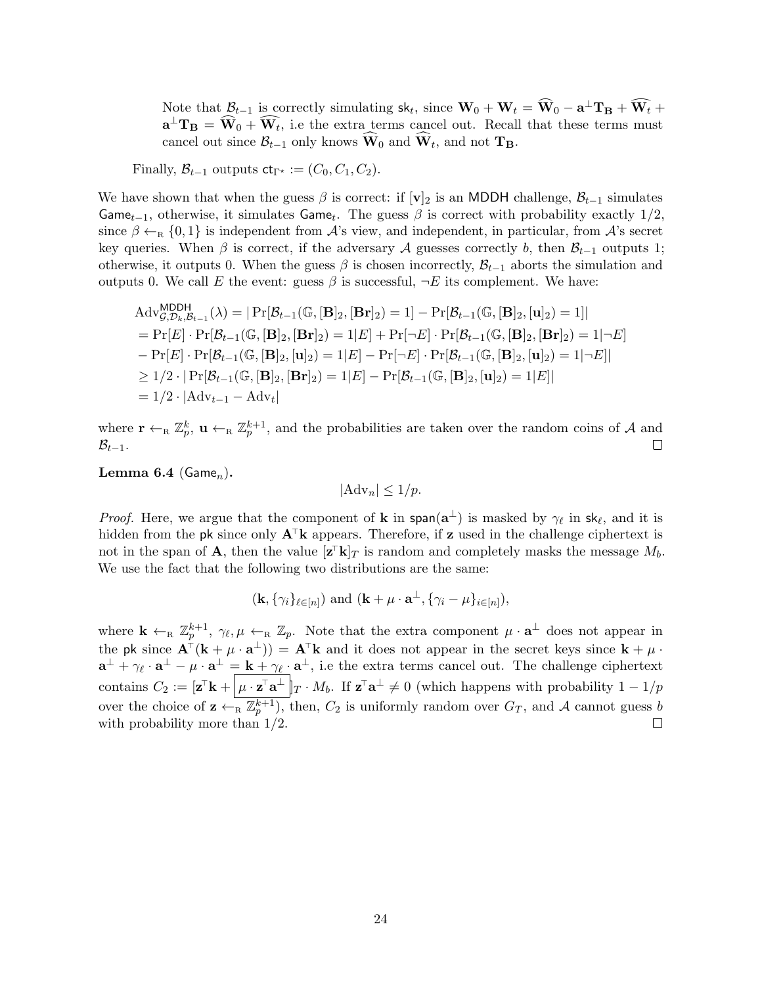Note that  $\mathcal{B}_{t-1}$  is correctly simulating  $\mathbf{s}k_t$ , since  $\mathbf{W}_0 + \mathbf{W}_t = \widehat{\mathbf{W}}_0 - \mathbf{a}^\perp \mathbf{T_B} + \widehat{\mathbf{W}}_t +$  $\mathbf{a}^{\perp} \mathbf{T}_{\mathbf{B}} = \widehat{\mathbf{W}}_0 + \widehat{\mathbf{W}_t}$ , i.e the extra terms cancel out. Recall that these terms must cancel out since  $\mathcal{B}_{t-1}$  only knows  $\mathbf{W}_0$  and  $\mathbf{W}_t$ , and not  $\mathbf{T}_\mathbf{B}$ .

Finally,  $\mathcal{B}_{t-1}$  outputs  $ct_{\Gamma^*} := (C_0, C_1, C_2)$ .

We have shown that when the guess  $\beta$  is correct: if  $[v]_2$  is an MDDH challenge,  $\mathcal{B}_{t-1}$  simulates Game<sub>t−1</sub>, otherwise, it simulates Game<sub>t</sub>. The guess  $\beta$  is correct with probability exactly 1/2, since  $\beta \leftarrow_R \{0,1\}$  is independent from A's view, and independent, in particular, from A's secret key queries. When  $\beta$  is correct, if the adversary A guesses correctly b, then  $\mathcal{B}_{t-1}$  outputs 1; otherwise, it outputs 0. When the guess  $\beta$  is chosen incorrectly,  $\mathcal{B}_{t-1}$  aborts the simulation and outputs 0. We call E the event: guess  $\beta$  is successful,  $\neg E$  its complement. We have:

$$
Adv_{\mathcal{G},\mathcal{D}_{k},\mathcal{B}_{t-1}}^{\text{MDPI}}(\lambda) = | \Pr[\mathcal{B}_{t-1}(\mathbb{G},[\mathbf{B}]_2,[\mathbf{Br}]_2) = 1] - \Pr[\mathcal{B}_{t-1}(\mathbb{G},[\mathbf{B}]_2,[\mathbf{u}]_2) = 1] |
$$
  
\n
$$
= \Pr[E] \cdot \Pr[\mathcal{B}_{t-1}(\mathbb{G},[\mathbf{B}]_2,[\mathbf{Br}]_2) = 1|E] + \Pr[\neg E] \cdot \Pr[\mathcal{B}_{t-1}(\mathbb{G},[\mathbf{B}]_2,[\mathbf{Br}]_2) = 1|\neg E]
$$
  
\n
$$
- \Pr[E] \cdot \Pr[\mathcal{B}_{t-1}(\mathbb{G},[\mathbf{B}]_2,[\mathbf{u}]_2) = 1|E] - \Pr[\neg E] \cdot \Pr[\mathcal{B}_{t-1}(\mathbb{G},[\mathbf{B}]_2,[\mathbf{u}]_2) = 1|\neg E]
$$
  
\n
$$
\geq 1/2 \cdot |\Pr[\mathcal{B}_{t-1}(\mathbb{G},[\mathbf{B}]_2,[\mathbf{Br}]_2) = 1|E] - \Pr[\mathcal{B}_{t-1}(\mathbb{G},[\mathbf{B}]_2,[\mathbf{u}]_2) = 1|E]
$$
  
\n
$$
= 1/2 \cdot |\text{Adv}_{t-1} - \text{Adv}_{t}|
$$

where  $\mathbf{r} \leftarrow_R \mathbb{Z}_p^k$ ,  $\mathbf{u} \leftarrow_R \mathbb{Z}_p^{k+1}$ , and the probabilities are taken over the random coins of A and  $\mathcal{B}_{t-1}$ .  $\Box$ 

<span id="page-23-0"></span>Lemma 6.4 (Game<sub>n</sub>).

$$
|\mathrm{Adv}_n| \le 1/p.
$$

*Proof.* Here, we argue that the component of **k** in span( $a^{\perp}$ ) is masked by  $\gamma_{\ell}$  in sk<sub> $\ell$ </sub>, and it is hidden from the pk since only  $A^T k$  appears. Therefore, if z used in the challenge ciphertext is not in the span of **A**, then the value  $[\mathbf{z}^\top \mathbf{k}]_T$  is random and completely masks the message  $M_b$ . We use the fact that the following two distributions are the same:

$$
(\mathbf{k}, \{\gamma_i\}_{\ell \in [n]})
$$
 and  $(\mathbf{k} + \mu \cdot \mathbf{a}^{\perp}, \{\gamma_i - \mu\}_{i \in [n]}),$ 

where  $\mathbf{k} \leftarrow_R \mathbb{Z}_p^{k+1}$ ,  $\gamma_{\ell}, \mu \leftarrow_R \mathbb{Z}_p$ . Note that the extra component  $\mu \cdot \mathbf{a}^{\perp}$  does not appear in the pk since  $\mathbf{A}^{\dagger}(\mathbf{k} + \mu \cdot \mathbf{a}^{\dagger}) = \mathbf{A}^{\dagger}\mathbf{k}$  and it does not appear in the secret keys since  $\mathbf{k} + \mu \cdot \mathbf{a}$  $\mathbf{a}^{\perp} + \gamma_{\ell} \cdot \mathbf{a}^{\perp} - \mu \cdot \mathbf{a}^{\perp} = \mathbf{k} + \gamma_{\ell} \cdot \mathbf{a}^{\perp}$ , i.e the extra terms cancel out. The challenge ciphertext contains  $C_2 := [\mathbf{z}^\top \mathbf{k} + \n\mu \cdot \mathbf{z}^\top \mathbf{a}^\perp \Vert_T \cdot M_b$ . If  $\mathbf{z}^\top \mathbf{a}^\perp \neq 0$  (which happens with probability  $1 - 1/p$ over the choice of  $\mathbf{z} \leftarrow_R \overline{\mathbb{Z}_p^{k+1}}$ , then,  $C_2$  is uniformly random over  $G_T$ , and A cannot guess b with probability more than  $1/2$ .  $\Box$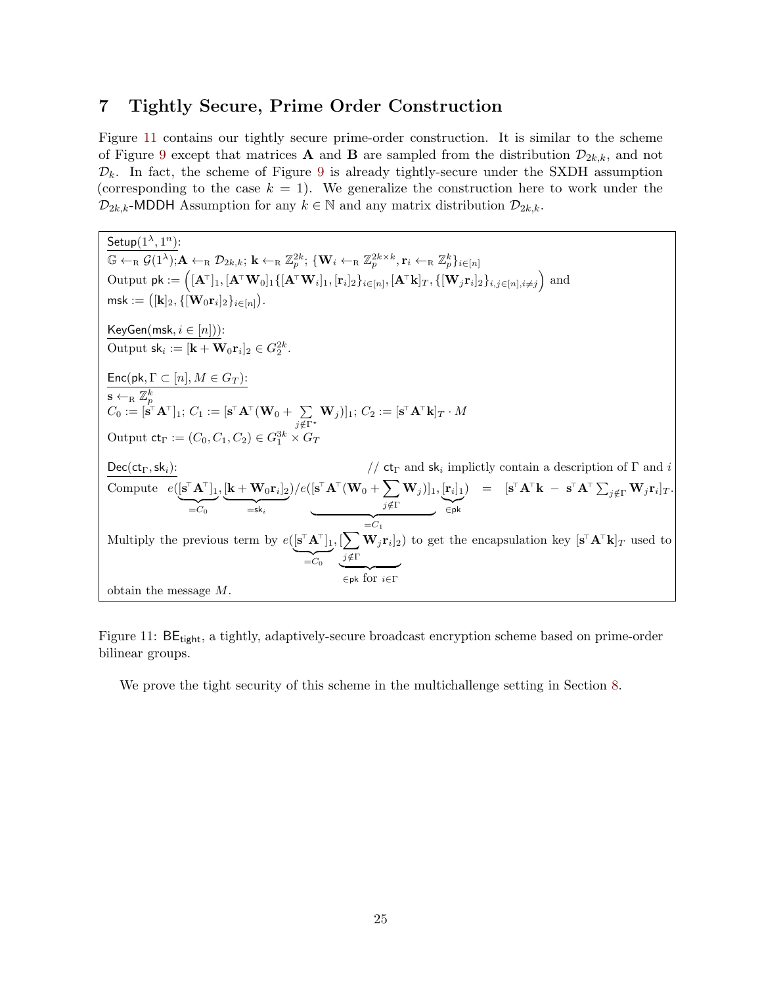## <span id="page-24-0"></span>7 Tightly Secure, Prime Order Construction

Figure [11](#page-24-1) contains our tightly secure prime-order construction. It is similar to the scheme of Figure [9](#page-20-1) except that matrices **A** and **B** are sampled from the distribution  $\mathcal{D}_{2k,k}$ , and not  $\mathcal{D}_k$ . In fact, the scheme of Figure [9](#page-20-1) is already tightly-secure under the SXDH assumption (corresponding to the case  $k = 1$ ). We generalize the construction here to work under the  $\mathcal{D}_{2k,k}$ -MDDH Assumption for any  $k \in \mathbb{N}$  and any matrix distribution  $\mathcal{D}_{2k,k}$ .

<span id="page-24-1"></span>Setup $(1^{\lambda}, 1^n)$ :  $\mathbb{G} \leftarrow_R \mathcal{G}(1^\lambda); \mathbf{A} \leftarrow_R \mathcal{D}_{2k,k}; \, \mathbf{k} \leftarrow_R \mathbb{Z}_p^{2k}; \, \{ \mathbf{W}_i \leftarrow_R \mathbb{Z}_p^{2k \times k}, \mathbf{r}_i \leftarrow_R \mathbb{Z}_p^k \}_{i \in [n]}$ Output  $\mathsf{pk} := \left( [\mathbf{A}^\top]_1, [\mathbf{A}^\top \mathbf{W}_0]_1 \{ [\mathbf{A}^\top \mathbf{W}_i]_1, [\mathbf{r}_i]_2 \}_{i \in [n]}, [\mathbf{A}^\top \mathbf{k}]_T, \{ [\mathbf{W}_j \mathbf{r}_i]_2 \}_{i,j \in [n], i \neq j} \right)$  and  $\mathsf{msk} := \big([\mathbf{k}]_2, \{[\mathbf{W}_0\mathbf{r}_i]_2\}_{i\in[n]}\big).$ KeyGen(msk,  $i \in [n]$ ): Output  $\mathsf{sk}_i := [\mathbf{k} + \mathbf{W}_0 \mathbf{r}_i]_2 \in G_2^{2k}$ .  $\mathsf{Enc}(\mathsf{pk}, \Gamma \subset [n], M \in G_T)$ :  $\mathbf{S} \leftarrow_R \mathbb{Z}_p^k \ C_0 := [\mathbf{s}^\top \mathbf{A}^\top]_1; \ C_1 := [\mathbf{s}^\top \mathbf{A}^\top (\mathbf{W}_0 + \ \sum)$  $[\sum\limits_{j \notin \Gamma^{\star}} \mathbf{W}_{j})]_{1}; \, C_{2} := [\mathbf{s}^{\!\scriptscriptstyle{\top}} \mathbf{A}^{\!\scriptscriptstyle{\top}} \mathbf{k}]_{T} \cdot M$ Output  $ct_{\Gamma} := (C_0, C_1, C_2) \in G_1^{3k} \times G_T$  $\mathsf{Dec}(\underbrace{\mathsf{ct}_\Gamma, \mathsf{sk}_i)}$ :  $i$  ct<sub>Γ</sub> and **sk**<sub>i</sub> implictly contain a description of Γ and *i* Compute  $e([{\bf s}^{\top}{\bf A}^{\top}]_1)$  $\overline{=}C_0$  $,[\mathbf{k}+\mathbf{W}_0\mathbf{r}_i]_2$  $=$ sk<sub>i</sub>  $)/e([{\bf s}^{\!\top}{\bf A}^{\!\top}({\bf W}_0 + \sum_{\alpha} \def\da{{\bf B}_\alpha} %{{\bf B}_\alpha} - {{\bf B}_\alpha \underline{\bf A}}^{\!\top} \bar{{\bf A}}^{\!\top}({\bf W}_\alpha) + \sum_{\alpha} \def\da{{\bf B}_\alpha} %{{\bf B}_\alpha} %{{\bf B}_\alpha} - {{\bf B}_\alpha \underline{\bf A}}^{\!\top} \bar{{\bf A}}^{\!\top} \bar{{\bf A}}^{\!\top} \bar{{\bf A}}^{\!\top} \bar{{\bf A}}^{\!\top} \bar{{\bf A}}^{\!\top} \bar{{\bf A}}^{\!\$  $j$ ∉Γ  $(\mathbf{W}_j)]_1$  $=C_1$  $,[{\bf r}_i]_1$ |{z} ∈pk  $)\quad =\quad [\mathbf{s}^\top \mathbf{A}^\top \mathbf{k} \;-\; \mathbf{s}^\top \mathbf{A}^\top \sum_{j\notin \Gamma} \mathbf{W}_j \mathbf{r}_i ]_T.$ Multiply the previous term by  $e([\mathbf{s}^{\mathsf{T}} \mathbf{A}^{\mathsf{T}}]_1)$  $\overline{\phantom{a}}$  =  $C_0$  $,\lvert\sum$  $j \notin \Gamma$  $\mathbf{W}_j \mathbf{r}_i]_2$  $\overline{c}$   $\overline{c}$   $\overline{c}$   $\overline{c}$   $\overline{c}$ <sup>∈</sup>pk for i∈Γ ) to get the encapsulation key  $[\mathbf{s}^\top \mathbf{A}^\top \mathbf{k}]_T$  used to obtain the message M.

Figure 11: BE<sub>tight</sub>, a tightly, adaptively-secure broadcast encryption scheme based on prime-order bilinear groups.

We prove the tight security of this scheme in the multichallenge setting in Section [8.](#page-25-0)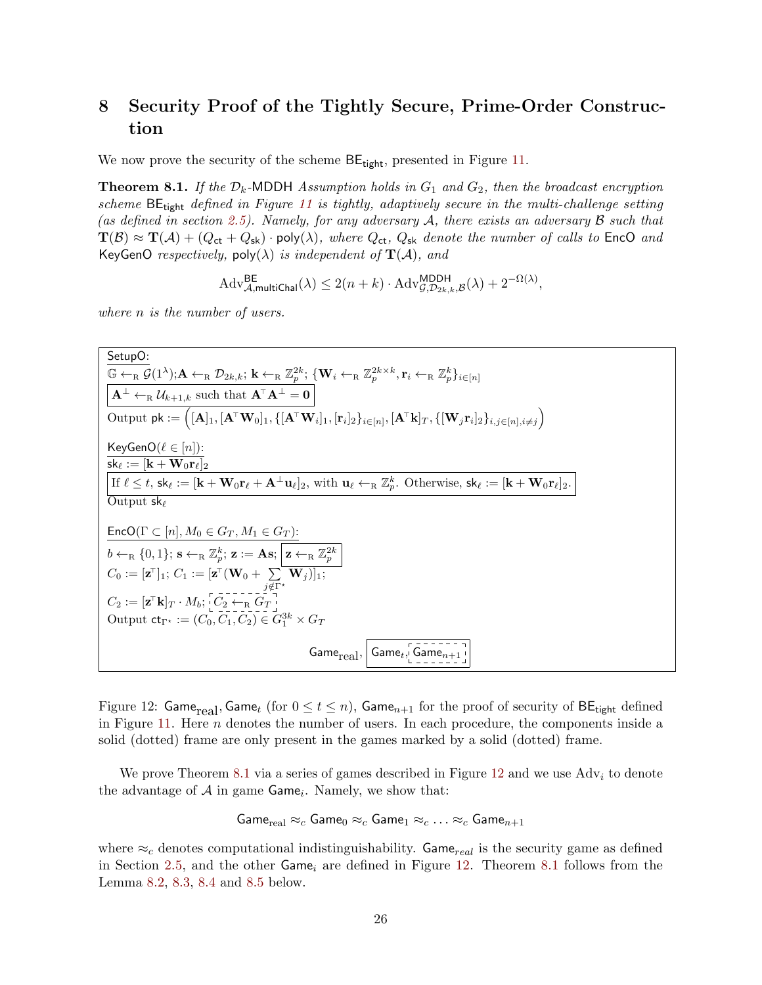# <span id="page-25-0"></span>8 Security Proof of the Tightly Secure, Prime-Order Construction

We now prove the security of the scheme  $\mathsf{BE}_{\mathsf{tight}}$ , presented in Figure [11.](#page-24-1)

<span id="page-25-1"></span>**Theorem 8.1.** If the  $\mathcal{D}_k$ -MDDH Assumption holds in  $G_1$  and  $G_2$ , then the broadcast encryption scheme  $BE_{tight}$  defined in Figure [11](#page-24-1) is tightly, adaptively secure in the multi-challenge setting (as defined in section [2.5\)](#page-10-0). Namely, for any adversary  $A$ , there exists an adversary  $B$  such that  $\mathbf{T}(\mathcal{B}) \approx \mathbf{T}(\mathcal{A}) + (Q_{\mathsf{ct}} + Q_{\mathsf{sk}}) \cdot \mathsf{poly}(\lambda)$ , where  $Q_{\mathsf{ct}}$ ,  $Q_{\mathsf{sk}}$  denote the number of calls to EncO and KeyGenO respectively,  $poly(\lambda)$  is independent of  $T(\mathcal{A})$ , and

$$
\mathrm{Adv}_{\mathcal{A},\mathsf{multiChal}}^{\mathsf{BE}}(\lambda) \leq 2(n+k) \cdot \mathrm{Adv}_{\mathcal{G},\mathcal{D}_{2k,k},\mathcal{B}}^{\mathsf{MDDH}}(\lambda) + 2^{-\Omega(\lambda)},
$$

where *n* is the number of users.

<span id="page-25-2"></span>

| SetupO:                                                                                                                                                                                                                                                                         |
|---------------------------------------------------------------------------------------------------------------------------------------------------------------------------------------------------------------------------------------------------------------------------------|
| $\mathbb{G} \leftarrow_R \mathcal{G}(1^{\lambda}); \mathbf{A} \leftarrow_R \mathcal{D}_{2k,k}; \mathbf{k} \leftarrow_R \mathbb{Z}_p^{2k}; \{\mathbf{W}_i \leftarrow_R \mathbb{Z}_p^{2k \times k}, \mathbf{r}_i \leftarrow_R \mathbb{Z}_p^k\}_{i \in [n]}$                       |
| $\mathbf{A}^{\perp} \leftarrow_R \mathcal{U}_{k+1,k}$ such that $\mathbf{A}^{\top} \mathbf{A}^{\perp} = \mathbf{0}$                                                                                                                                                             |
| $\text{Output }\mathsf{pk}:=\left([\mathbf{A}]_1,[\mathbf{A}^{\!\top} \mathbf{W}_0]_1,\{[\mathbf{A}^{\!\top} \mathbf{W}_i]_1,[\mathbf{r}_i]_2\}_{i\in[n]},[\mathbf{A}^{\!\top} \mathbf{k}]_T,\{[\mathbf{W}_j\mathbf{r}_i]_2\}_{i,j\in[n],i\neq j}\right)$                       |
| KeyGenO $(\ell \in [n])$ :                                                                                                                                                                                                                                                      |
| $sk_{\ell} := [\mathbf{k} + \mathbf{W}_0 \mathbf{r}_{\ell}]_2$                                                                                                                                                                                                                  |
| If $\ell \leq t$ , $\mathsf{sk}_{\ell} := [\mathbf{k} + \mathbf{W}_0 \mathbf{r}_{\ell} + \mathbf{A}^{\perp} \mathbf{u}_{\ell}]_2$ , with $\mathbf{u}_{\ell} \leftarrow_R \mathbb{Z}_p^k$ . Otherwise, $\mathsf{sk}_{\ell} := [\mathbf{k} + \mathbf{W}_0 \mathbf{r}_{\ell}]_2$ . |
| Output $sk_{\ell}$                                                                                                                                                                                                                                                              |
|                                                                                                                                                                                                                                                                                 |
| $\mathsf{EncO}(\Gamma \subset [n], M_0 \in G_T, M_1 \in G_T)$ :                                                                                                                                                                                                                 |
| $b \leftarrow_R \{0,1\}; \, \mathbf{s} \leftarrow_R \mathbb{Z}_p^k; \, \mathbf{z} := \mathbf{A}\mathbf{s}; \, \mathbf{z} \leftarrow_R \mathbb{Z}_p^{2k}$                                                                                                                        |
| $C_0 := [\mathbf{z}^\top]_1; C_1 := [\mathbf{z}^\top (\mathbf{W}_0 + \sum_{j \notin \Gamma^*} \mathbf{W}_j)]_1;$                                                                                                                                                                |
| $C_2 := [{\bf z}^\top {\bf k}]_T \cdot M_b; \; \overbrace{C_2 \leftarrow_{\bf R} G_T}$                                                                                                                                                                                          |
| Output $ct_{\Gamma^*} := (C_0, C_1, C_2) \in G_1^{3k} \times G_T$                                                                                                                                                                                                               |
| $\mathsf{Game}_{\mathrm{real}}, \mathsf{ Game}_t, \mathsf{ Game}_{n+1}$                                                                                                                                                                                                         |

Figure 12: Game<sub>real</sub>, Game<sub>t</sub> (for  $0 \le t \le n$ ), Game<sub>n+1</sub> for the proof of security of BE<sub>tight</sub> defined in Figure [11.](#page-24-1) Here  $n$  denotes the number of users. In each procedure, the components inside a solid (dotted) frame are only present in the games marked by a solid (dotted) frame.

We prove Theorem [8.1](#page-25-1) via a series of games described in Figure [12](#page-25-2) and we use  $\text{Adv}_i$  to denote the advantage of  $A$  in game Game<sub>i</sub>. Namely, we show that:

$$
\mathsf{Game}_{\mathrm{real}} \approx_c \mathsf{Game}_0 \approx_c \mathsf{Game}_1 \approx_c \ldots \approx_c \mathsf{Game}_{n+1}
$$

<span id="page-25-3"></span>where  $\approx_c$  denotes computational indistinguishability. Game<sub>real</sub> is the security game as defined in Section [2.5,](#page-10-0) and the other  $Game<sub>i</sub>$  are defined in Figure [12.](#page-25-2) Theorem [8.1](#page-25-1) follows from the Lemma [8.2,](#page-25-3) [8.3,](#page-26-0) [8.4](#page-26-1) and [8.5](#page-27-0) below.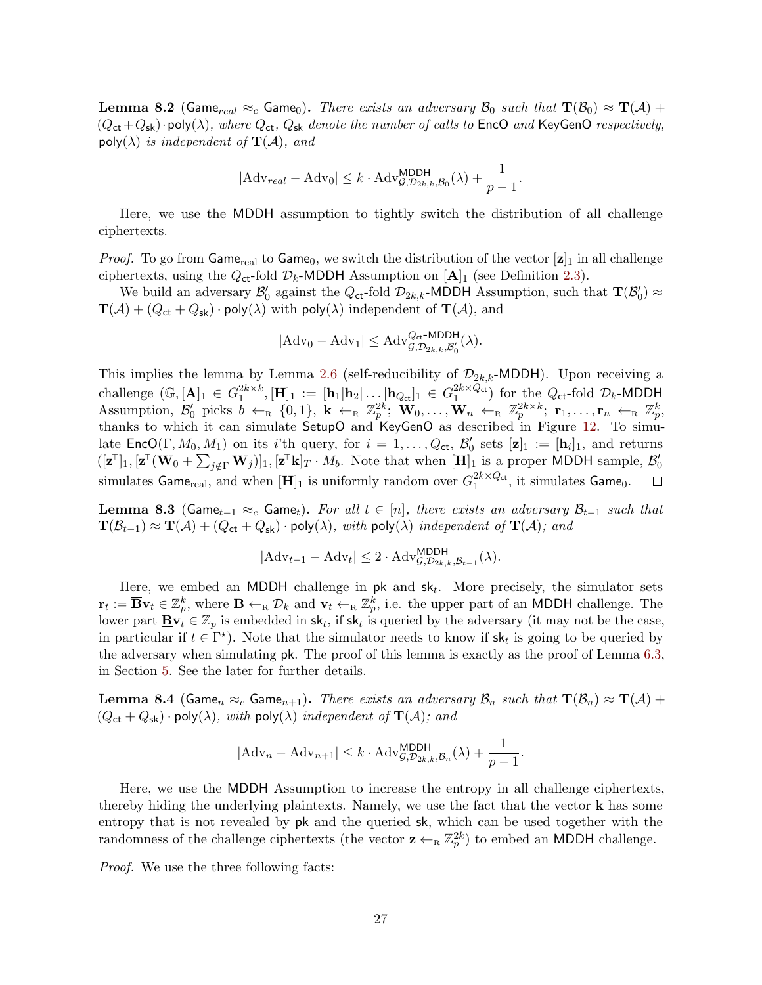**Lemma 8.2** (Game<sub>real</sub>  $\approx_c$  Game<sub>0</sub>). There exists an adversary  $\mathcal{B}_0$  such that  $\mathbf{T}(\mathcal{B}_0) \approx \mathbf{T}(\mathcal{A}) +$  $(Q_{ct}+Q_{sk})\cdot poly(\lambda)$ , where  $Q_{ct}$ ,  $Q_{sk}$  denote the number of calls to EncO and KeyGenO respectively,  $\text{poly}(\lambda)$  is independent of  $\mathbf{T}(\mathcal{A})$ , and

$$
|\mathrm{Adv}_{real} - \mathrm{Adv}_{0}| \leq k \cdot \mathrm{Adv}_{\mathcal{G}, \mathcal{D}_{2k,k}, \mathcal{B}_{0}}^{\mathsf{MDDH}}(\lambda) + \frac{1}{p-1}.
$$

Here, we use the MDDH assumption to tightly switch the distribution of all challenge ciphertexts.

*Proof.* To go from Game<sub>real</sub> to Game<sub>0</sub>, we switch the distribution of the vector  $[\mathbf{z}]_1$  in all challenge ciphertexts, using the  $Q_{ct}$ -fold  $\mathcal{D}_k$ -MDDH Assumption on  $[\mathbf{A}]_1$  (see Definition [2.3\)](#page-9-1).

We build an adversary  $\mathcal{B}'_0$  against the  $Q_{ct}$ -fold  $\mathcal{D}_{2k,k}$ -MDDH Assumption, such that  $\mathbf{T}(\mathcal{B}'_0) \approx$  $\mathbf{T}(\mathcal{A}) + (Q_{\mathsf{ct}} + Q_{\mathsf{sk}}) \cdot \mathsf{poly}(\lambda)$  with  $\mathsf{poly}(\lambda)$  independent of  $\mathbf{T}(\mathcal{A})$ , and

$$
|{\mathrm{Adv}}_0-{\mathrm{Adv}}_1|\leq {\mathrm{Adv}}^{{Q_{\mathsf{ct}}}\textrm{-}\mathsf{MDDH}}_{{\mathcal{G}},\mathcal{D}_{2k,k}, {\mathcal{B}}_0'}(\lambda).
$$

This implies the lemma by Lemma [2.6](#page-9-2) (self-reducibility of  $\mathcal{D}_{2k,k}$ -MDDH). Upon receiving a challenge  $(\mathbb{G}, [\mathbf{A}]_1 \in G_1^{2k \times k}, [\mathbf{H}]_1 := [\mathbf{h}_1 | \mathbf{h}_2 | \dots | \mathbf{h}_{Q_{\text{ct}}}]_1 \in G_1^{2k \times Q_{\text{ct}}}$  for the  $Q_{\text{ct}}$ -fold  $\mathcal{D}_k$ -MDDH Assumption,  $\mathcal{B}'_0$  picks  $\hat{b} \leftarrow_R \{0,1\}$ ,  $\mathbf{k} \leftarrow_R \mathbb{Z}_p^{2k}$ ;  $\mathbf{W}_0, \ldots, \mathbf{W}_n \leftarrow_R \mathbb{Z}_p^{2k \times k}$ ;  $\mathbf{r}_1, \ldots, \mathbf{r}_n \leftarrow_R \mathbb{Z}_p^k$ , thanks to which it can simulate SetupO and KeyGenO as described in Figure [12.](#page-25-2) To simulate  $\textsf{EncO}(\Gamma, M_0, M_1)$  on its *i*'th query, for  $i = 1, \ldots, Q_{ct}$ ,  $\mathcal{B}'_0$  sets  $[\mathbf{z}]_1 := [\mathbf{h}_i]_1$ , and returns  $([\mathbf{z}^\top]_1, [\mathbf{z}^\top(\mathbf{W}_0 + \sum_{j \notin \Gamma} \mathbf{W}_j)]_1, [\mathbf{z}^\top \mathbf{k}]_T \cdot M_b$ . Note that when  $[\mathbf{H}]_1$  is a proper MDDH sample,  $\mathcal{B}'_0$ simulates Game<sub>real</sub>, and when  $[\mathbf{H}]_1$  is uniformly random over  $G_1^{2k\times Q_{\mathsf{ct}}},$  it simulates Game $_0.$  $\Box$ 

<span id="page-26-0"></span>**Lemma 8.3** (Game<sub>t-1</sub>  $\approx_c$  Game<sub>t</sub>). For all  $t \in [n]$ , there exists an adversary  $\mathcal{B}_{t-1}$  such that  $\mathbf{T}(\mathcal{B}_{t-1}) \approx \mathbf{T}(\mathcal{A}) + (Q_{\mathsf{ct}} + Q_{\mathsf{sk}}) \cdot \mathsf{poly}(\lambda)$ , with  $\mathsf{poly}(\lambda)$  independent of  $\mathbf{T}(\mathcal{A})$ ; and

$$
|\mathrm{Adv}_{t-1} - \mathrm{Adv}_{t}| \le 2 \cdot \mathrm{Adv}_{\mathcal{G}, \mathcal{D}_{2k,k}, \mathcal{B}_{t-1}}^{\mathsf{MDDH}}(\lambda).
$$

Here, we embed an MDDH challenge in  $pk$  and  $sk_t$ . More precisely, the simulator sets  $\mathbf{r}_t := \overline{\mathbf{B}} \mathbf{v}_t \in \mathbb{Z}_p^k$ , where  $\mathbf{B} \leftarrow_R \mathcal{D}_k$  and  $\mathbf{v}_t \leftarrow_R \mathbb{Z}_p^k$ , i.e. the upper part of an MDDH challenge. The lower part  $\underline{\mathbf{B}}\mathbf{v}_t \in \mathbb{Z}_p$  is embedded in  $\mathsf{sk}_t$ , if  $\mathsf{sk}_t$  is queried by the adversary (it may not be the case, in particular if  $t \in \Gamma^*$ ). Note that the simulator needs to know if  $sk_t$  is going to be queried by the adversary when simulating pk. The proof of this lemma is exactly as the proof of Lemma [6.3,](#page-21-1) in Section [5.](#page-20-0) See the later for further details.

<span id="page-26-1"></span>**Lemma 8.4** (Game<sub>n</sub>  $\approx_c$  Game<sub>n+1</sub>). There exists an adversary  $\mathcal{B}_n$  such that  $\mathbf{T}(\mathcal{B}_n) \approx \mathbf{T}(\mathcal{A})$  +  $(Q_{ct} + Q_{sk}) \cdot \text{poly}(\lambda)$ , with  $\text{poly}(\lambda)$  independent of  $\textbf{T}(\mathcal{A})$ ; and

$$
|\mathrm{Adv}_{n} - \mathrm{Adv}_{n+1}| \le k \cdot \mathrm{Adv}_{\mathcal{G}, \mathcal{D}_{2k,k}, \mathcal{B}_n}^{\mathsf{MDDH}}(\lambda) + \frac{1}{p-1}.
$$

Here, we use the MDDH Assumption to increase the entropy in all challenge ciphertexts, thereby hiding the underlying plaintexts. Namely, we use the fact that the vector k has some entropy that is not revealed by pk and the queried sk, which can be used together with the randomness of the challenge ciphertexts (the vector  $\mathbf{z} \leftarrow_R \mathbb{Z}_p^{2k}$ ) to embed an MDDH challenge.

Proof. We use the three following facts: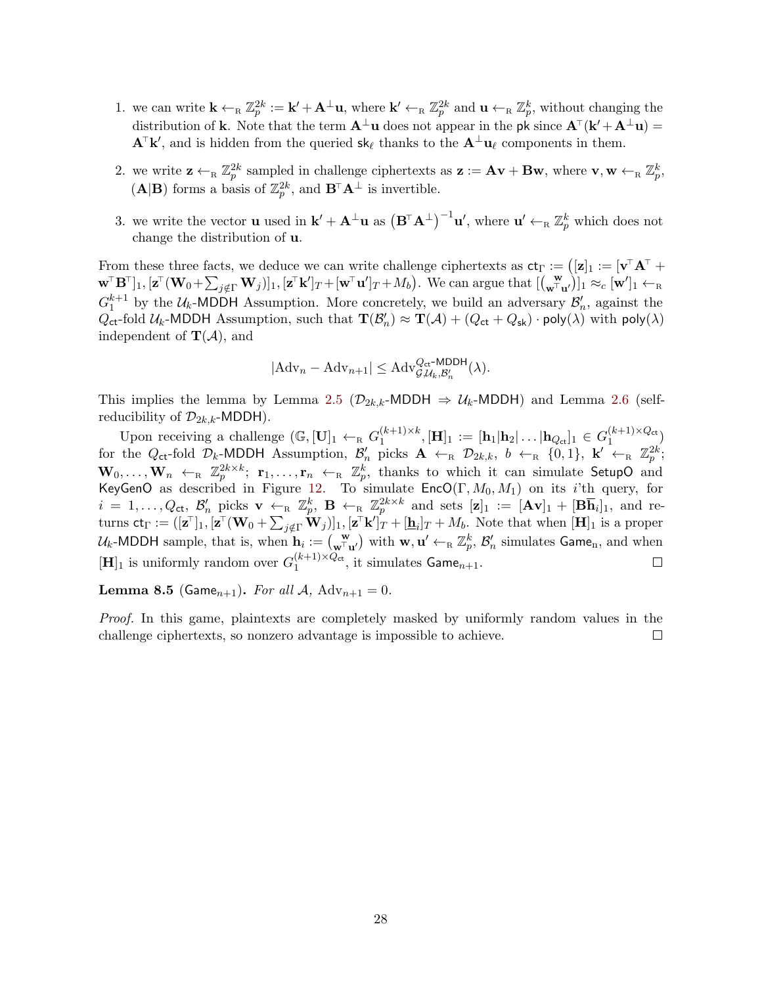- 1. we can write  $\mathbf{k} \leftarrow_R \mathbb{Z}_p^{2k} := \mathbf{k}' + \mathbf{A}^\perp \mathbf{u}$ , where  $\mathbf{k}' \leftarrow_R \mathbb{Z}_p^{2k}$  and  $\mathbf{u} \leftarrow_R \mathbb{Z}_p^k$ , without changing the distribution of k. Note that the term  $\mathbf{A}^{\perp}\mathbf{u}$  does not appear in the pk since  $\mathbf{A}^{\top}(\mathbf{k}' + \mathbf{A}^{\perp}\mathbf{u}) =$  $A^{\dagger}k'$ , and is hidden from the queried sk<sub>l</sub> thanks to the  $A^{\perp}u$ <sub>l</sub> components in them.
- 2. we write  $\mathbf{z} \leftarrow_R \mathbb{Z}_p^{2k}$  sampled in challenge ciphertexts as  $\mathbf{z} := \mathbf{A}\mathbf{v} + \mathbf{B}\mathbf{w}$ , where  $\mathbf{v}, \mathbf{w} \leftarrow_R \mathbb{Z}_p^k$ ,  $(A|B)$  forms a basis of  $\mathbb{Z}_p^{2k}$ , and  $B^{\dagger}A^{\perp}$  is invertible.
- 3. we write the vector **u** used in  $\mathbf{k}' + \mathbf{A}^{\perp} \mathbf{u}$  as  $(\mathbf{B}^{\top} \mathbf{A}^{\perp})^{-1} \mathbf{u}'$ , where  $\mathbf{u}' \leftarrow_{R} \mathbb{Z}_{p}^{k}$  which does not change the distribution of u.

From these three facts, we deduce we can write challenge ciphertexts as  $ct_{\Gamma} := ([z]_1 := [v^{\top} A^{\top} +$  $[\mathbf{w}^{\top} \mathbf{B}^{\top}]_1, [\mathbf{z}^{\top} (\mathbf{W}_0 + \sum_{j \notin \Gamma} \mathbf{W}_j)]_1, [\mathbf{z}^{\top} \mathbf{k}']_T + [\mathbf{w}^{\top} \mathbf{u}']_T + M_b).$  We can argue that  $[(\mathbf{w}^{\top} \mathbf{u}^{\prime})]_1 \approx_c [\mathbf{w}^{\prime}]_1 \leftarrow_R$  $G_1^{k+1}$  by the  $\mathcal{U}_k$ -MDDH Assumption. More concretely, we build an adversary  $\mathcal{B}'_n$ , against the  $Q_{ct}$ -fold  $\mathcal{U}_k$ -MDDH Assumption, such that  $\mathbf{T}(\mathcal{B}'_n) \approx \mathbf{T}(\mathcal{A}) + (Q_{ct} + Q_{sk}) \cdot \text{poly}(\lambda)$  with  $\text{poly}(\lambda)$ independent of  $\mathbf{T}(\mathcal{A})$ , and

$$
|\mathrm{Adv}_{n}-\mathrm{Adv}_{n+1}|\leq \mathrm{Adv}_{\mathcal{G},\mathcal{U}_{k},\mathcal{B}'_{n}}^{Q_{\mathrm{ct}}\text{-}\mathrm{MDDH}}(\lambda).
$$

This implies the lemma by Lemma [2.5](#page-9-3) ( $\mathcal{D}_{2k,k}$ -MDDH  $\Rightarrow \mathcal{U}_k$ -MDDH) and Lemma [2.6](#page-9-2) (selfreducibility of  $\mathcal{D}_{2k,k}$ -MDDH).

Upon receiving a challenge  $(\mathbb{G}, [\mathbf{U}]_1 \leftarrow_R G_1^{(k+1)\times k}$  $\mathbf{H}_1^{(k+1)\times k},\left[\mathbf{H}\right]_1:=\left[\mathbf{h}_1|\mathbf{h}_2|\ldots|\mathbf{h}_{Q_{\text{ct}}}\right]_1\in G_1^{(k+1)\times Q_{\text{ct}}},$  $\binom{k+1}{k}$ for the  $Q_{ct}$ -fold  $\mathcal{D}_k$ -MDDH Assumption,  $\mathcal{B}'_n$  picks  $\mathbf{A} \leftarrow_R \mathcal{D}_{2k,k}$ ,  $b \leftarrow_R \{0,1\}$ ,  $\mathbf{k}' \leftarrow_R \mathbb{Z}_p^{2k}$ ;  $\mathbf{W}_0,\ldots,\mathbf{W}_n \leftarrow_R \mathbb{Z}_p^{2k\times k};$   $\mathbf{r}_1,\ldots,\mathbf{r}_n \leftarrow_R \mathbb{Z}_p^k$ , thanks to which it can simulate SetupO and KeyGenO as described in Figure [12.](#page-25-2) To simulate  $\mathsf{EncO}(\Gamma, M_0, M_1)$  on its *i*'th query, for  $i = 1, \ldots, Q_{ct}, \mathcal{B}'_n$  picks  $\mathbf{v} \leftarrow_R \mathbb{Z}_p^k, \; \mathbf{B} \leftarrow_R \mathbb{Z}_p^{2k \times k}$  and sets  $[\mathbf{z}]_1 := [\mathbf{A} \mathbf{v}]_1 + [\mathbf{B} \overline{\mathbf{h}}_i]_1$ , and returns  $ct_\Gamma := ([\mathbf{z}^\top]_1, [\mathbf{z}^\top (\mathbf{W}_0 + \sum_{j \notin \Gamma} \mathbf{W}_j)]_1, [\mathbf{z}^\top \mathbf{k}']_T + [\underline{\mathbf{h}}_i]_T + M_b$ . Note that when  $[\mathbf{H}]_1$  is a proper  $\mathcal{U}_k$ -MDDH sample, that is, when  $\mathbf{h}_i := \begin{pmatrix} \mathbf{w} \\ \mathbf{w}^\top \mathbf{u}' \end{pmatrix}$  with  $\mathbf{w}, \mathbf{u}' \leftarrow_R \mathbb{Z}_p^k$ ,  $\mathcal{B}'_n$  simulates Game<sub>n</sub>, and when  $[\mathbf{H}]_1$  is uniformly random over  $G_1^{(k+1)\times Q_{\text{ct}}}$  $\int_{1}^{(\kappa+1)\times Q_{\text{ct}}},$  it simulates  $\textsf{Game}_{n+1}.$ 

<span id="page-27-0"></span>**Lemma 8.5** (Game<sub>n+1</sub>). For all A,  $Adv_{n+1} = 0$ .

Proof. In this game, plaintexts are completely masked by uniformly random values in the challenge ciphertexts, so nonzero advantage is impossible to achieve.  $\Box$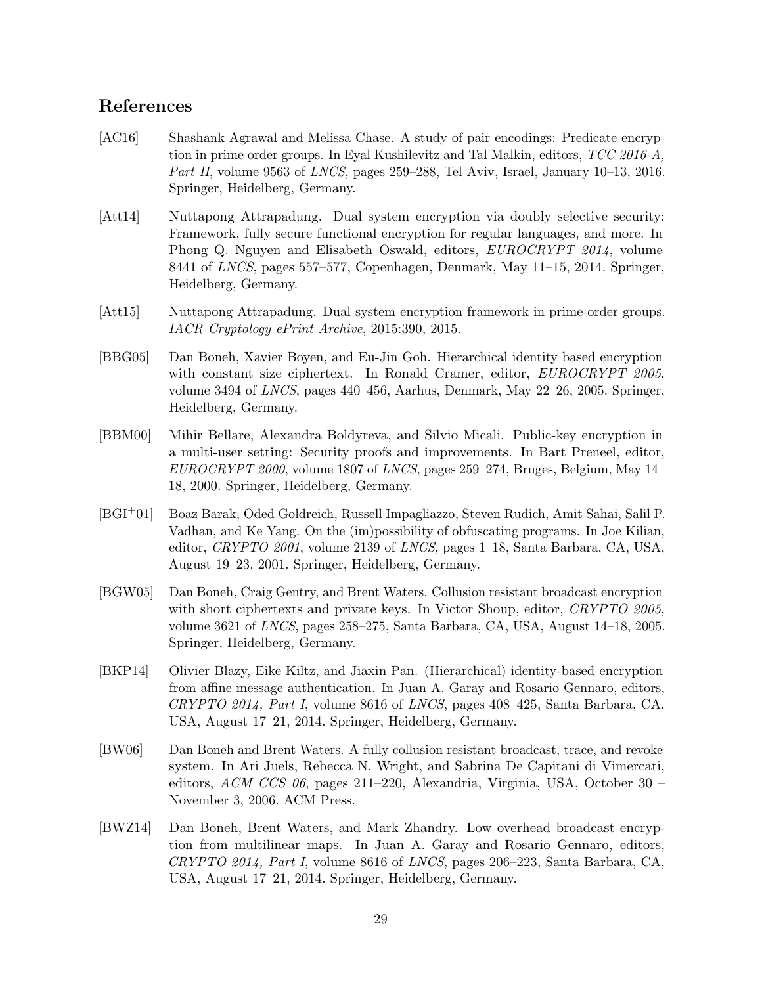# References

- <span id="page-28-3"></span>[AC16] Shashank Agrawal and Melissa Chase. A study of pair encodings: Predicate encryption in prime order groups. In Eyal Kushilevitz and Tal Malkin, editors, TCC 2016-A, Part II, volume 9563 of LNCS, pages 259–288, Tel Aviv, Israel, January 10–13, 2016. Springer, Heidelberg, Germany.
- <span id="page-28-2"></span>[Att14] Nuttapong Attrapadung. Dual system encryption via doubly selective security: Framework, fully secure functional encryption for regular languages, and more. In Phong Q. Nguyen and Elisabeth Oswald, editors, EUROCRYPT 2014, volume 8441 of LNCS, pages 557–577, Copenhagen, Denmark, May 11–15, 2014. Springer, Heidelberg, Germany.
- <span id="page-28-7"></span>[Att15] Nuttapong Attrapadung. Dual system encryption framework in prime-order groups. IACR Cryptology ePrint Archive, 2015:390, 2015.
- <span id="page-28-9"></span>[BBG05] Dan Boneh, Xavier Boyen, and Eu-Jin Goh. Hierarchical identity based encryption with constant size ciphertext. In Ronald Cramer, editor, *EUROCRYPT 2005*, volume 3494 of LNCS, pages 440–456, Aarhus, Denmark, May 22–26, 2005. Springer, Heidelberg, Germany.
- <span id="page-28-1"></span>[BBM00] Mihir Bellare, Alexandra Boldyreva, and Silvio Micali. Public-key encryption in a multi-user setting: Security proofs and improvements. In Bart Preneel, editor, EUROCRYPT 2000, volume 1807 of LNCS, pages 259–274, Bruges, Belgium, May 14– 18, 2000. Springer, Heidelberg, Germany.
- <span id="page-28-6"></span>[BGI+01] Boaz Barak, Oded Goldreich, Russell Impagliazzo, Steven Rudich, Amit Sahai, Salil P. Vadhan, and Ke Yang. On the (im)possibility of obfuscating programs. In Joe Kilian, editor, CRYPTO 2001, volume 2139 of LNCS, pages 1–18, Santa Barbara, CA, USA, August 19–23, 2001. Springer, Heidelberg, Germany.
- <span id="page-28-0"></span>[BGW05] Dan Boneh, Craig Gentry, and Brent Waters. Collusion resistant broadcast encryption with short ciphertexts and private keys. In Victor Shoup, editor, CRYPTO 2005, volume 3621 of LNCS, pages 258–275, Santa Barbara, CA, USA, August 14–18, 2005. Springer, Heidelberg, Germany.
- <span id="page-28-8"></span>[BKP14] Olivier Blazy, Eike Kiltz, and Jiaxin Pan. (Hierarchical) identity-based encryption from affine message authentication. In Juan A. Garay and Rosario Gennaro, editors, CRYPTO 2014, Part I, volume 8616 of LNCS, pages 408–425, Santa Barbara, CA, USA, August 17–21, 2014. Springer, Heidelberg, Germany.
- <span id="page-28-4"></span>[BW06] Dan Boneh and Brent Waters. A fully collusion resistant broadcast, trace, and revoke system. In Ari Juels, Rebecca N. Wright, and Sabrina De Capitani di Vimercati, editors, ACM CCS 06, pages 211–220, Alexandria, Virginia, USA, October 30 – November 3, 2006. ACM Press.
- <span id="page-28-5"></span>[BWZ14] Dan Boneh, Brent Waters, and Mark Zhandry. Low overhead broadcast encryption from multilinear maps. In Juan A. Garay and Rosario Gennaro, editors, CRYPTO 2014, Part I, volume 8616 of LNCS, pages 206–223, Santa Barbara, CA, USA, August 17–21, 2014. Springer, Heidelberg, Germany.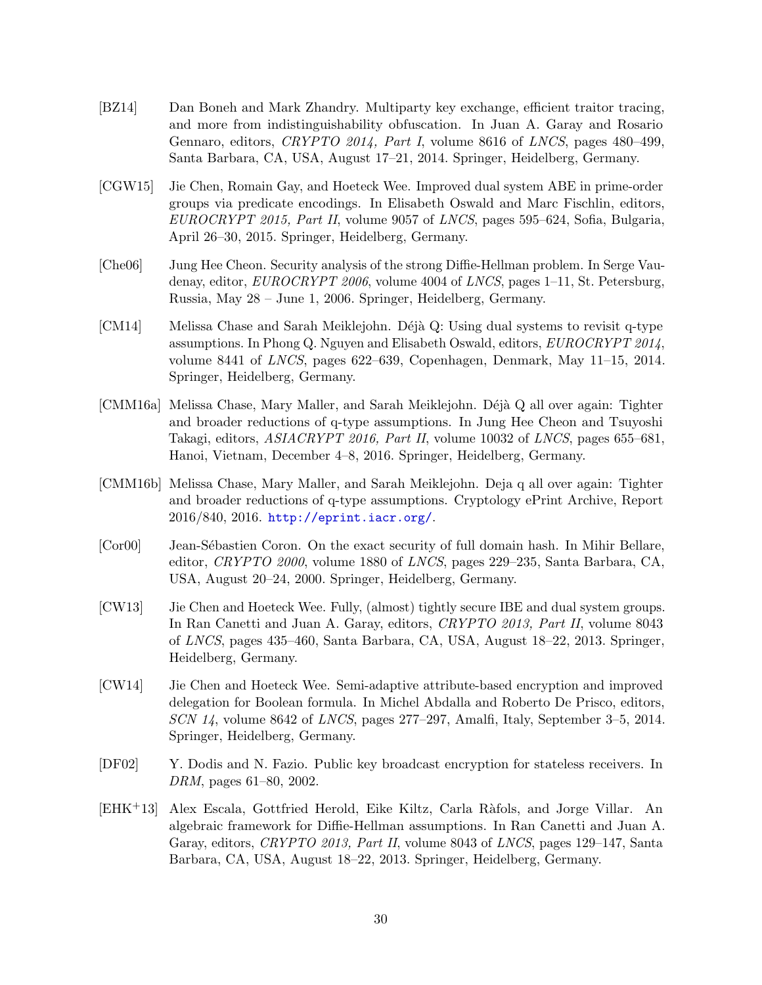- <span id="page-29-7"></span>[BZ14] Dan Boneh and Mark Zhandry. Multiparty key exchange, efficient traitor tracing, and more from indistinguishability obfuscation. In Juan A. Garay and Rosario Gennaro, editors, *CRYPTO 2014*, *Part I*, volume 8616 of *LNCS*, pages 480–499, Santa Barbara, CA, USA, August 17–21, 2014. Springer, Heidelberg, Germany.
- <span id="page-29-5"></span>[CGW15] Jie Chen, Romain Gay, and Hoeteck Wee. Improved dual system ABE in prime-order groups via predicate encodings. In Elisabeth Oswald and Marc Fischlin, editors,  $EUROCRYPT 2015$ , Part II, volume 9057 of LNCS, pages 595–624, Sofia, Bulgaria, April 26–30, 2015. Springer, Heidelberg, Germany.
- <span id="page-29-1"></span>[Che06] Jung Hee Cheon. Security analysis of the strong Diffie-Hellman problem. In Serge Vaudenay, editor, EUROCRYPT 2006, volume 4004 of LNCS, pages 1–11, St. Petersburg, Russia, May 28 – June 1, 2006. Springer, Heidelberg, Germany.
- <span id="page-29-8"></span>[CM14] Melissa Chase and Sarah Meiklejohn. Déjà Q: Using dual systems to revisit q-type assumptions. In Phong Q. Nguyen and Elisabeth Oswald, editors, EUROCRYPT 2014, volume 8441 of LNCS, pages 622–639, Copenhagen, Denmark, May 11–15, 2014. Springer, Heidelberg, Germany.
- <span id="page-29-2"></span>[CMM16a] Melissa Chase, Mary Maller, and Sarah Meiklejohn. Déjà Q all over again: Tighter and broader reductions of q-type assumptions. In Jung Hee Cheon and Tsuyoshi Takagi, editors, ASIACRYPT 2016, Part II, volume 10032 of LNCS, pages 655–681, Hanoi, Vietnam, December 4–8, 2016. Springer, Heidelberg, Germany.
- <span id="page-29-6"></span>[CMM16b] Melissa Chase, Mary Maller, and Sarah Meiklejohn. Deja q all over again: Tighter and broader reductions of q-type assumptions. Cryptology ePrint Archive, Report 2016/840, 2016. <http://eprint.iacr.org/>.
- <span id="page-29-3"></span>[Cor00] Jean-Sébastien Coron. On the exact security of full domain hash. In Mihir Bellare, editor, CRYPTO 2000, volume 1880 of LNCS, pages 229–235, Santa Barbara, CA, USA, August 20–24, 2000. Springer, Heidelberg, Germany.
- <span id="page-29-4"></span>[CW13] Jie Chen and Hoeteck Wee. Fully, (almost) tightly secure IBE and dual system groups. In Ran Canetti and Juan A. Garay, editors, CRYPTO 2013, Part II, volume 8043 of LNCS, pages 435–460, Santa Barbara, CA, USA, August 18–22, 2013. Springer, Heidelberg, Germany.
- <span id="page-29-9"></span>[CW14] Jie Chen and Hoeteck Wee. Semi-adaptive attribute-based encryption and improved delegation for Boolean formula. In Michel Abdalla and Roberto De Prisco, editors, SCN 14, volume 8642 of LNCS, pages 277–297, Amalfi, Italy, September 3–5, 2014. Springer, Heidelberg, Germany.
- <span id="page-29-0"></span>[DF02] Y. Dodis and N. Fazio. Public key broadcast encryption for stateless receivers. In DRM, pages 61–80, 2002.
- <span id="page-29-10"></span>[EHK+13] Alex Escala, Gottfried Herold, Eike Kiltz, Carla R`afols, and Jorge Villar. An algebraic framework for Diffie-Hellman assumptions. In Ran Canetti and Juan A. Garay, editors, CRYPTO 2013, Part II, volume 8043 of LNCS, pages 129–147, Santa Barbara, CA, USA, August 18–22, 2013. Springer, Heidelberg, Germany.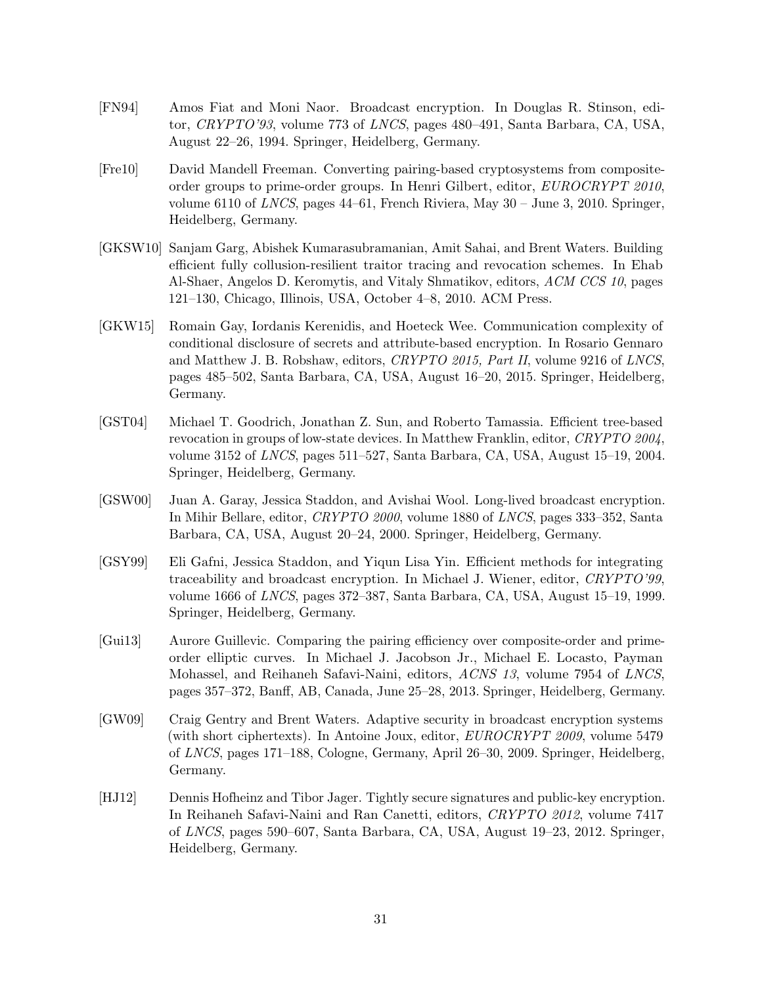- <span id="page-30-0"></span>[FN94] Amos Fiat and Moni Naor. Broadcast encryption. In Douglas R. Stinson, editor, CRYPTO'93, volume 773 of LNCS, pages 480–491, Santa Barbara, CA, USA, August 22–26, 1994. Springer, Heidelberg, Germany.
- <span id="page-30-9"></span>[Fre10] David Mandell Freeman. Converting pairing-based cryptosystems from compositeorder groups to prime-order groups. In Henri Gilbert, editor, EUROCRYPT 2010, volume 6110 of LNCS, pages  $44-61$ , French Riviera, May  $30$  – June 3, 2010. Springer, Heidelberg, Germany.
- <span id="page-30-5"></span>[GKSW10] Sanjam Garg, Abishek Kumarasubramanian, Amit Sahai, and Brent Waters. Building efficient fully collusion-resilient traitor tracing and revocation schemes. In Ehab Al-Shaer, Angelos D. Keromytis, and Vitaly Shmatikov, editors, ACM CCS 10, pages 121–130, Chicago, Illinois, USA, October 4–8, 2010. ACM Press.
- <span id="page-30-4"></span>[GKW15] Romain Gay, Iordanis Kerenidis, and Hoeteck Wee. Communication complexity of conditional disclosure of secrets and attribute-based encryption. In Rosario Gennaro and Matthew J. B. Robshaw, editors, CRYPTO 2015, Part II, volume 9216 of LNCS, pages 485–502, Santa Barbara, CA, USA, August 16–20, 2015. Springer, Heidelberg, Germany.
- <span id="page-30-1"></span>[GST04] Michael T. Goodrich, Jonathan Z. Sun, and Roberto Tamassia. Efficient tree-based revocation in groups of low-state devices. In Matthew Franklin, editor, CRYPTO 2004, volume 3152 of LNCS, pages 511–527, Santa Barbara, CA, USA, August 15–19, 2004. Springer, Heidelberg, Germany.
- <span id="page-30-6"></span>[GSW00] Juan A. Garay, Jessica Staddon, and Avishai Wool. Long-lived broadcast encryption. In Mihir Bellare, editor, CRYPTO 2000, volume 1880 of LNCS, pages 333–352, Santa Barbara, CA, USA, August 20–24, 2000. Springer, Heidelberg, Germany.
- <span id="page-30-7"></span>[GSY99] Eli Gafni, Jessica Staddon, and Yiqun Lisa Yin. Efficient methods for integrating traceability and broadcast encryption. In Michael J. Wiener, editor, CRYPTO'99, volume 1666 of LNCS, pages 372–387, Santa Barbara, CA, USA, August 15–19, 1999. Springer, Heidelberg, Germany.
- <span id="page-30-8"></span>[Gui13] Aurore Guillevic. Comparing the pairing efficiency over composite-order and primeorder elliptic curves. In Michael J. Jacobson Jr., Michael E. Locasto, Payman Mohassel, and Reihaneh Safavi-Naini, editors, ACNS 13, volume 7954 of LNCS, pages 357–372, Banff, AB, Canada, June 25–28, 2013. Springer, Heidelberg, Germany.
- <span id="page-30-2"></span>[GW09] Craig Gentry and Brent Waters. Adaptive security in broadcast encryption systems (with short ciphertexts). In Antoine Joux, editor, EUROCRYPT 2009, volume 5479 of LNCS, pages 171–188, Cologne, Germany, April 26–30, 2009. Springer, Heidelberg, Germany.
- <span id="page-30-3"></span>[HJ12] Dennis Hofheinz and Tibor Jager. Tightly secure signatures and public-key encryption. In Reihaneh Safavi-Naini and Ran Canetti, editors, CRYPTO 2012, volume 7417 of LNCS, pages 590–607, Santa Barbara, CA, USA, August 19–23, 2012. Springer, Heidelberg, Germany.